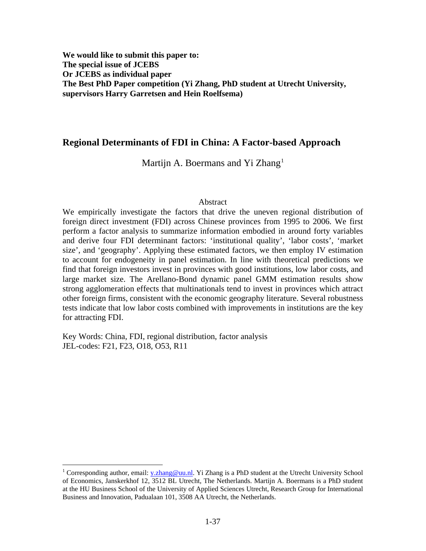**We would like to submit this paper to: The special issue of JCEBS Or JCEBS as individual paper The Best PhD Paper competition (Yi Zhang, PhD student at Utrecht University, supervisors Harry Garretsen and Hein Roelfsema)** 

## **Regional Determinants of FDI in China: A Factor-based Approach**

Martijn A. Boermans and Yi Zhang<sup>[1](#page-0-0)</sup>

#### Abstract

We empirically investigate the factors that drive the uneven regional distribution of foreign direct investment (FDI) across Chinese provinces from 1995 to 2006. We first perform a factor analysis to summarize information embodied in around forty variables and derive four FDI determinant factors: 'institutional quality', 'labor costs', 'market size', and 'geography'. Applying these estimated factors, we then employ IV estimation to account for endogeneity in panel estimation. In line with theoretical predictions we find that foreign investors invest in provinces with good institutions, low labor costs, and large market size. The Arellano-Bond dynamic panel GMM estimation results show strong agglomeration effects that multinationals tend to invest in provinces which attract other foreign firms, consistent with the economic geography literature. Several robustness tests indicate that low labor costs combined with improvements in institutions are the key for attracting FDI.

Key Words: China, FDI, regional distribution, factor analysis JEL-codes: F21, F23, O18, O53, R11

 $\overline{a}$ 

<span id="page-0-0"></span><sup>&</sup>lt;sup>1</sup> Corresponding author, email: [y.zhang@uu.nl](mailto:y.zhang@uu.nl). Yi Zhang is a PhD student at the Utrecht University School of Economics, Janskerkhof 12, 3512 BL Utrecht, The Netherlands. Martijn A. Boermans is a PhD student at the HU Business School of the University of Applied Sciences Utrecht, Research Group for International Business and Innovation, Padualaan 101, 3508 AA Utrecht, the Netherlands.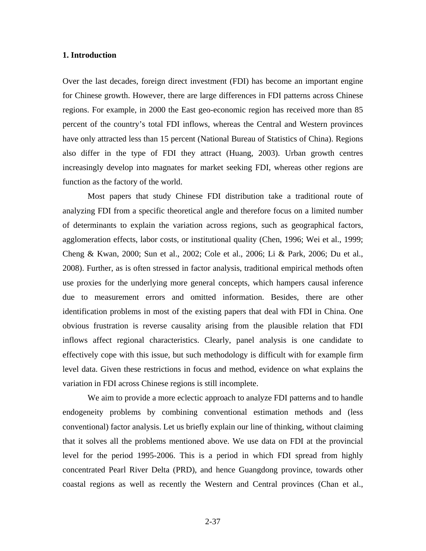## **1. Introduction**

Over the last decades, foreign direct investment (FDI) has become an important engine for Chinese growth. However, there are large differences in FDI patterns across Chinese regions. For example, in 2000 the East geo-economic region has received more than 85 percent of the country's total FDI inflows, whereas the Central and Western provinces have only attracted less than 15 percent (National Bureau of Statistics of China). Regions also differ in the type of FDI they attract (Huang, 2003). Urban growth centres increasingly develop into magnates for market seeking FDI, whereas other regions are function as the factory of the world.

Most papers that study Chinese FDI distribution take a traditional route of analyzing FDI from a specific theoretical angle and therefore focus on a limited number of determinants to explain the variation across regions, such as geographical factors, agglomeration effects, labor costs, or institutional quality (Chen, 1996; Wei et al., 1999; Cheng & Kwan, 2000; Sun et al., 2002; Cole et al., 2006; Li & Park, 2006; Du et al., 2008). Further, as is often stressed in factor analysis, traditional empirical methods often use proxies for the underlying more general concepts, which hampers causal inference due to measurement errors and omitted information. Besides, there are other identification problems in most of the existing papers that deal with FDI in China. One obvious frustration is reverse causality arising from the plausible relation that FDI inflows affect regional characteristics. Clearly, panel analysis is one candidate to effectively cope with this issue, but such methodology is difficult with for example firm level data. Given these restrictions in focus and method, evidence on what explains the variation in FDI across Chinese regions is still incomplete.

We aim to provide a more eclectic approach to analyze FDI patterns and to handle endogeneity problems by combining conventional estimation methods and (less conventional) factor analysis. Let us briefly explain our line of thinking, without claiming that it solves all the problems mentioned above. We use data on FDI at the provincial level for the period 1995-2006. This is a period in which FDI spread from highly concentrated Pearl River Delta (PRD), and hence Guangdong province, towards other coastal regions as well as recently the Western and Central provinces (Chan et al.,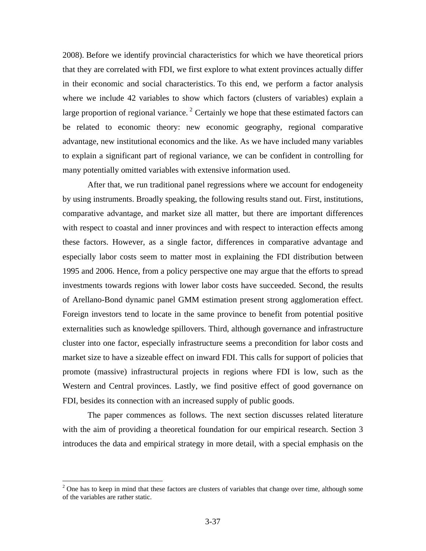2008). Before we identify provincial characteristics for which we have theoretical priors that they are correlated with FDI, we first explore to what extent provinces actually differ in their economic and social characteristics. To this end, we perform a factor analysis where we include 42 variables to show which factors (clusters of variables) explain a large proportion of regional variance.<sup>[2](#page-2-0)</sup> Certainly we hope that these estimated factors can be related to economic theory: new economic geography, regional comparative advantage, new institutional economics and the like. As we have included many variables to explain a significant part of regional variance, we can be confident in controlling for many potentially omitted variables with extensive information used.

After that, we run traditional panel regressions where we account for endogeneity by using instruments. Broadly speaking, the following results stand out. First, institutions, comparative advantage, and market size all matter, but there are important differences with respect to coastal and inner provinces and with respect to interaction effects among these factors. However, as a single factor, differences in comparative advantage and especially labor costs seem to matter most in explaining the FDI distribution between 1995 and 2006. Hence, from a policy perspective one may argue that the efforts to spread investments towards regions with lower labor costs have succeeded. Second, the results of Arellano-Bond dynamic panel GMM estimation present strong agglomeration effect. Foreign investors tend to locate in the same province to benefit from potential positive externalities such as knowledge spillovers. Third, although governance and infrastructure cluster into one factor, especially infrastructure seems a precondition for labor costs and market size to have a sizeable effect on inward FDI. This calls for support of policies that promote (massive) infrastructural projects in regions where FDI is low, such as the Western and Central provinces. Lastly, we find positive effect of good governance on FDI, besides its connection with an increased supply of public goods.

The paper commences as follows. The next section discusses related literature with the aim of providing a theoretical foundation for our empirical research. Section 3 introduces the data and empirical strategy in more detail, with a special emphasis on the

1

<span id="page-2-0"></span> $2$  One has to keep in mind that these factors are clusters of variables that change over time, although some of the variables are rather static.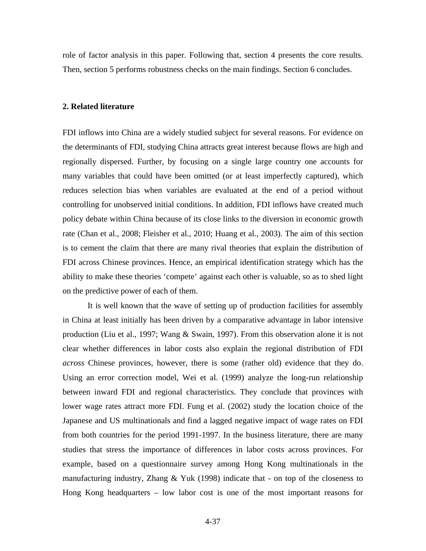role of factor analysis in this paper. Following that, section 4 presents the core results. Then, section 5 performs robustness checks on the main findings. Section 6 concludes.

## **2. Related literature**

FDI inflows into China are a widely studied subject for several reasons. For evidence on the determinants of FDI, studying China attracts great interest because flows are high and regionally dispersed. Further, by focusing on a single large country one accounts for many variables that could have been omitted (or at least imperfectly captured), which reduces selection bias when variables are evaluated at the end of a period without controlling for unobserved initial conditions. In addition, FDI inflows have created much policy debate within China because of its close links to the diversion in economic growth rate (Chan et al., 2008; Fleisher et al., 2010; Huang et al., 2003). The aim of this section is to cement the claim that there are many rival theories that explain the distribution of FDI across Chinese provinces. Hence, an empirical identification strategy which has the ability to make these theories 'compete' against each other is valuable, so as to shed light on the predictive power of each of them.

It is well known that the wave of setting up of production facilities for assembly in China at least initially has been driven by a comparative advantage in labor intensive production (Liu et al., 1997; Wang & Swain, 1997). From this observation alone it is not clear whether differences in labor costs also explain the regional distribution of FDI *across* Chinese provinces, however, there is some (rather old) evidence that they do. Using an error correction model, Wei et al. (1999) analyze the long-run relationship between inward FDI and regional characteristics. They conclude that provinces with lower wage rates attract more FDI. Fung et al. (2002) study the location choice of the Japanese and US multinationals and find a lagged negative impact of wage rates on FDI from both countries for the period 1991-1997. In the business literature, there are many studies that stress the importance of differences in labor costs across provinces. For example, based on a questionnaire survey among Hong Kong multinationals in the manufacturing industry, Zhang  $& Yuk$  (1998) indicate that - on top of the closeness to Hong Kong headquarters – low labor cost is one of the most important reasons for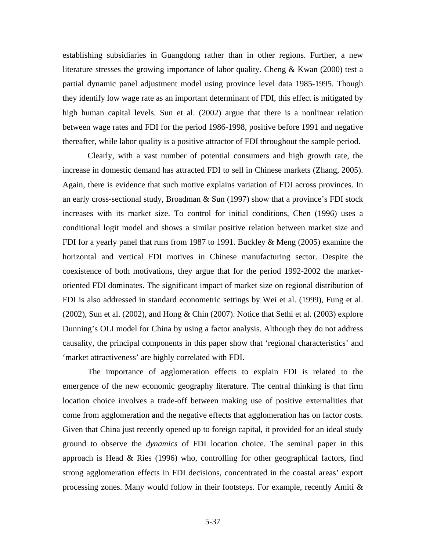establishing subsidiaries in Guangdong rather than in other regions. Further, a new literature stresses the growing importance of labor quality. Cheng & Kwan (2000) test a partial dynamic panel adjustment model using province level data 1985-1995. Though they identify low wage rate as an important determinant of FDI, this effect is mitigated by high human capital levels. Sun et al. (2002) argue that there is a nonlinear relation between wage rates and FDI for the period 1986-1998, positive before 1991 and negative thereafter, while labor quality is a positive attractor of FDI throughout the sample period.

Clearly, with a vast number of potential consumers and high growth rate, the increase in domestic demand has attracted FDI to sell in Chinese markets (Zhang, 2005). Again, there is evidence that such motive explains variation of FDI across provinces. In an early cross-sectional study, Broadman & Sun (1997) show that a province's FDI stock increases with its market size. To control for initial conditions, Chen (1996) uses a conditional logit model and shows a similar positive relation between market size and FDI for a yearly panel that runs from 1987 to 1991. Buckley & Meng (2005) examine the horizontal and vertical FDI motives in Chinese manufacturing sector. Despite the coexistence of both motivations, they argue that for the period 1992-2002 the marketoriented FDI dominates. The significant impact of market size on regional distribution of FDI is also addressed in standard econometric settings by Wei et al. (1999), Fung et al. (2002), Sun et al. (2002), and Hong & Chin (2007). Notice that Sethi et al. (2003) explore Dunning's OLI model for China by using a factor analysis. Although they do not address causality, the principal components in this paper show that 'regional characteristics' and 'market attractiveness' are highly correlated with FDI.

The importance of agglomeration effects to explain FDI is related to the emergence of the new economic geography literature. The central thinking is that firm location choice involves a trade-off between making use of positive externalities that come from agglomeration and the negative effects that agglomeration has on factor costs. Given that China just recently opened up to foreign capital, it provided for an ideal study ground to observe the *dynamics* of FDI location choice. The seminal paper in this approach is Head & Ries (1996) who, controlling for other geographical factors, find strong agglomeration effects in FDI decisions, concentrated in the coastal areas' export processing zones. Many would follow in their footsteps. For example, recently Amiti &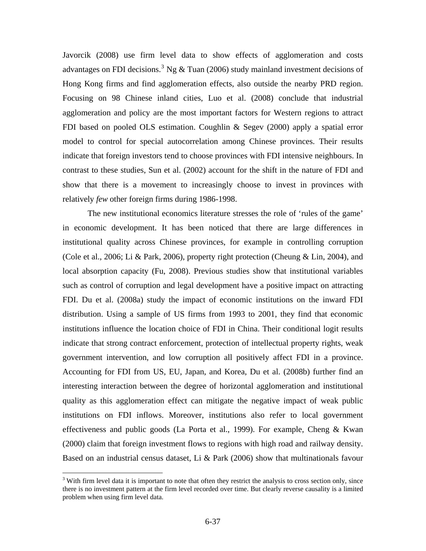Javorcik (2008) use firm level data to show effects of agglomeration and costs advantages on FDI decisions.<sup>[3](#page-5-0)</sup> Ng & Tuan (2006) study mainland investment decisions of Hong Kong firms and find agglomeration effects, also outside the nearby PRD region. Focusing on 98 Chinese inland cities, Luo et al. (2008) conclude that industrial agglomeration and policy are the most important factors for Western regions to attract FDI based on pooled OLS estimation. Coughlin & Segev (2000) apply a spatial error model to control for special autocorrelation among Chinese provinces. Their results indicate that foreign investors tend to choose provinces with FDI intensive neighbours. In contrast to these studies, Sun et al. (2002) account for the shift in the nature of FDI and show that there is a movement to increasingly choose to invest in provinces with relatively *few* other foreign firms during 1986-1998.

The new institutional economics literature stresses the role of 'rules of the game' in economic development. It has been noticed that there are large differences in institutional quality across Chinese provinces, for example in controlling corruption (Cole et al., 2006; Li & Park, 2006), property right protection (Cheung & Lin, 2004), and local absorption capacity (Fu, 2008). Previous studies show that institutional variables such as control of corruption and legal development have a positive impact on attracting FDI. Du et al. (2008a) study the impact of economic institutions on the inward FDI distribution. Using a sample of US firms from 1993 to 2001, they find that economic institutions influence the location choice of FDI in China. Their conditional logit results indicate that strong contract enforcement, protection of intellectual property rights, weak government intervention, and low corruption all positively affect FDI in a province. Accounting for FDI from US, EU, Japan, and Korea, Du et al. (2008b) further find an interesting interaction between the degree of horizontal agglomeration and institutional quality as this agglomeration effect can mitigate the negative impact of weak public institutions on FDI inflows. Moreover, institutions also refer to local government effectiveness and public goods (La Porta et al., 1999). For example, Cheng & Kwan (2000) claim that foreign investment flows to regions with high road and railway density. Based on an industrial census dataset, Li & Park  $(2006)$  show that multinationals favour

 $\overline{a}$ 

<span id="page-5-0"></span> $3$  With firm level data it is important to note that often they restrict the analysis to cross section only, since there is no investment pattern at the firm level recorded over time. But clearly reverse causality is a limited problem when using firm level data.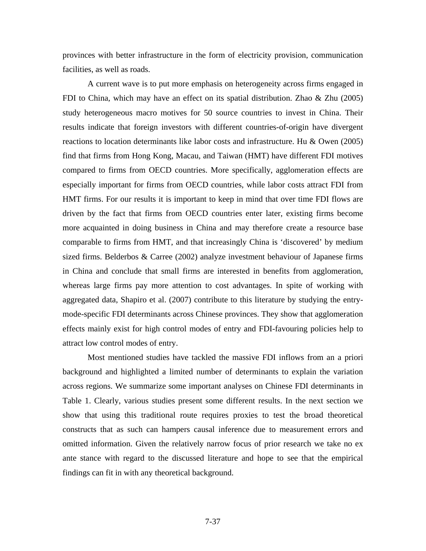provinces with better infrastructure in the form of electricity provision, communication facilities, as well as roads.

A current wave is to put more emphasis on heterogeneity across firms engaged in FDI to China, which may have an effect on its spatial distribution. Zhao & Zhu (2005) study heterogeneous macro motives for 50 source countries to invest in China. Their results indicate that foreign investors with different countries-of-origin have divergent reactions to location determinants like labor costs and infrastructure. Hu & Owen (2005) find that firms from Hong Kong, Macau, and Taiwan (HMT) have different FDI motives compared to firms from OECD countries. More specifically, agglomeration effects are especially important for firms from OECD countries, while labor costs attract FDI from HMT firms. For our results it is important to keep in mind that over time FDI flows are driven by the fact that firms from OECD countries enter later, existing firms become more acquainted in doing business in China and may therefore create a resource base comparable to firms from HMT, and that increasingly China is 'discovered' by medium sized firms. Belderbos & Carree (2002) analyze investment behaviour of Japanese firms in China and conclude that small firms are interested in benefits from agglomeration, whereas large firms pay more attention to cost advantages. In spite of working with aggregated data, Shapiro et al. (2007) contribute to this literature by studying the entrymode-specific FDI determinants across Chinese provinces. They show that agglomeration effects mainly exist for high control modes of entry and FDI-favouring policies help to attract low control modes of entry.

Most mentioned studies have tackled the massive FDI inflows from an a priori background and highlighted a limited number of determinants to explain the variation across regions. We summarize some important analyses on Chinese FDI determinants in Table 1. Clearly, various studies present some different results. In the next section we show that using this traditional route requires proxies to test the broad theoretical constructs that as such can hampers causal inference due to measurement errors and omitted information. Given the relatively narrow focus of prior research we take no ex ante stance with regard to the discussed literature and hope to see that the empirical findings can fit in with any theoretical background.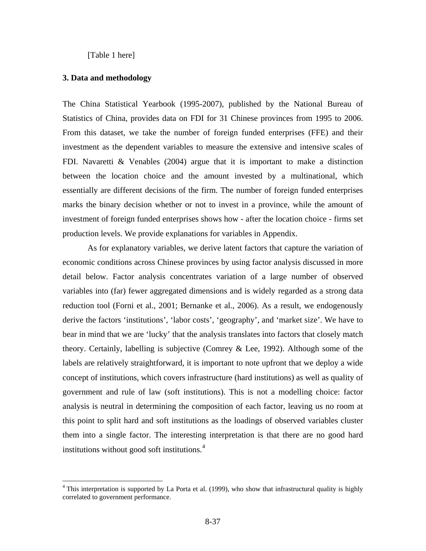[Table 1 here]

#### **3. Data and methodology**

1

The China Statistical Yearbook (1995-2007), published by the National Bureau of Statistics of China, provides data on FDI for 31 Chinese provinces from 1995 to 2006. From this dataset, we take the number of foreign funded enterprises (FFE) and their investment as the dependent variables to measure the extensive and intensive scales of FDI. Navaretti  $\&$  Venables (2004) argue that it is important to make a distinction between the location choice and the amount invested by a multinational, which essentially are different decisions of the firm. The number of foreign funded enterprises marks the binary decision whether or not to invest in a province, while the amount of investment of foreign funded enterprises shows how - after the location choice - firms set production levels. We provide explanations for variables in Appendix.

As for explanatory variables, we derive latent factors that capture the variation of economic conditions across Chinese provinces by using factor analysis discussed in more detail below. Factor analysis concentrates variation of a large number of observed variables into (far) fewer aggregated dimensions and is widely regarded as a strong data reduction tool (Forni et al., 2001; Bernanke et al., 2006). As a result, we endogenously derive the factors 'institutions', 'labor costs', 'geography', and 'market size'. We have to bear in mind that we are 'lucky' that the analysis translates into factors that closely match theory. Certainly, labelling is subjective (Comrey & Lee, 1992). Although some of the labels are relatively straightforward, it is important to note upfront that we deploy a wide concept of institutions, which covers infrastructure (hard institutions) as well as quality of government and rule of law (soft institutions). This is not a modelling choice: factor analysis is neutral in determining the composition of each factor, leaving us no room at this point to split hard and soft institutions as the loadings of observed variables cluster them into a single factor. The interesting interpretation is that there are no good hard institutions without good soft institutions.<sup>[4](#page-7-0)</sup>

<span id="page-7-0"></span><sup>&</sup>lt;sup>4</sup> This interpretation is supported by La Porta et al. (1999), who show that infrastructural quality is highly correlated to government performance.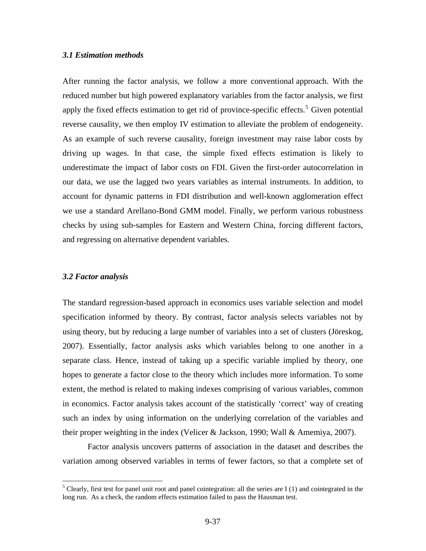## *3.1 Estimation methods*

After running the factor analysis, we follow a more conventional approach. With the reduced number but high powered explanatory variables from the factor analysis, we first apply the fixed effects estimation to get rid of province-specific effects.<sup>[5](#page-8-0)</sup> Given potential reverse causality, we then employ IV estimation to alleviate the problem of endogeneity. As an example of such reverse causality, foreign investment may raise labor costs by driving up wages. In that case, the simple fixed effects estimation is likely to underestimate the impact of labor costs on FDI. Given the first-order autocorrelation in our data, we use the lagged two years variables as internal instruments. In addition, to account for dynamic patterns in FDI distribution and well-known agglomeration effect we use a standard Arellano-Bond GMM model. Finally, we perform various robustness checks by using sub-samples for Eastern and Western China, forcing different factors, and regressing on alternative dependent variables.

## *3.2 Factor analysis*

The standard regression-based approach in economics uses variable selection and model specification informed by theory. By contrast, factor analysis selects variables not by using theory, but by reducing a large number of variables into a set of clusters (Jöreskog, 2007). Essentially, factor analysis asks which variables belong to one another in a separate class. Hence, instead of taking up a specific variable implied by theory, one hopes to generate a factor close to the theory which includes more information. To some extent, the method is related to making indexes comprising of various variables, common in economics. Factor analysis takes account of the statistically 'correct' way of creating such an index by using information on the underlying correlation of the variables and their proper weighting in the index (Velicer & Jackson, 1990; Wall & Amemiya, 2007).

Factor analysis uncovers patterns of association in the dataset and describes the variation among observed variables in terms of fewer factors, so that a complete set of

<span id="page-8-0"></span><sup>&</sup>lt;sup>5</sup> Clearly, first test for panel unit root and panel cointegration: all the series are I (1) and cointegrated in the long run. As a check, the random effects estimation failed to pass the Hausman test.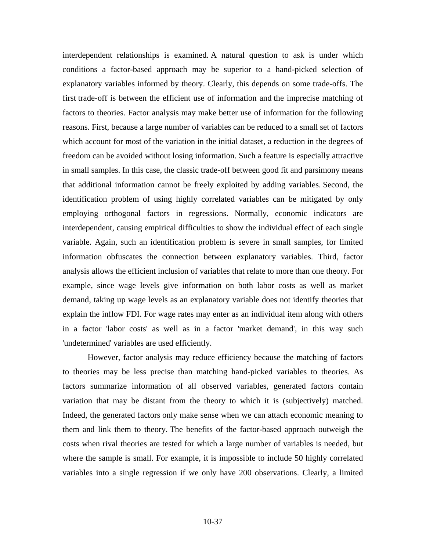interdependent relationships is examined. A natural question to ask is under which conditions a factor-based approach may be superior to a hand-picked selection of explanatory variables informed by theory. Clearly, this depends on some trade-offs. The first trade-off is between the efficient use of information and the imprecise matching of factors to theories. Factor analysis may make better use of information for the following reasons. First, because a large number of variables can be reduced to a small set of factors which account for most of the variation in the initial dataset, a reduction in the degrees of freedom can be avoided without losing information. Such a feature is especially attractive in small samples. In this case, the classic trade-off between good fit and parsimony means that additional information cannot be freely exploited by adding variables. Second, the identification problem of using highly correlated variables can be mitigated by only employing orthogonal factors in regressions. Normally, economic indicators are interdependent, causing empirical difficulties to show the individual effect of each single variable. Again, such an identification problem is severe in small samples, for limited information obfuscates the connection between explanatory variables. Third, factor analysis allows the efficient inclusion of variables that relate to more than one theory. For example, since wage levels give information on both labor costs as well as market demand, taking up wage levels as an explanatory variable does not identify theories that explain the inflow FDI. For wage rates may enter as an individual item along with others in a factor 'labor costs' as well as in a factor 'market demand', in this way such 'undetermined' variables are used efficiently.

However, factor analysis may reduce efficiency because the matching of factors to theories may be less precise than matching hand-picked variables to theories. As factors summarize information of all observed variables, generated factors contain variation that may be distant from the theory to which it is (subjectively) matched. Indeed, the generated factors only make sense when we can attach economic meaning to them and link them to theory. The benefits of the factor-based approach outweigh the costs when rival theories are tested for which a large number of variables is needed, but where the sample is small. For example, it is impossible to include 50 highly correlated variables into a single regression if we only have 200 observations. Clearly, a limited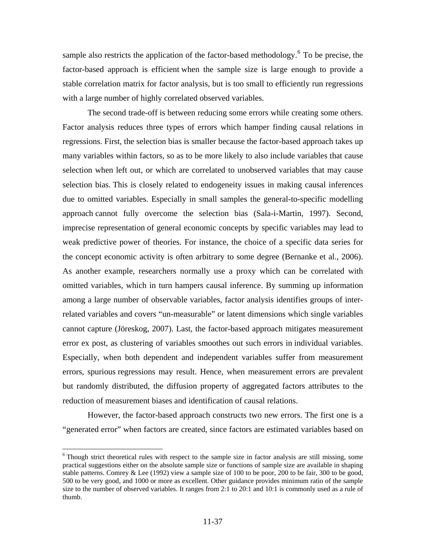sample also restricts the application of the factor-based methodology.<sup>[6](#page-10-0)</sup> To be precise, the factor-based approach is efficient when the sample size is large enough to provide a stable correlation matrix for factor analysis, but is too small to efficiently run regressions with a large number of highly correlated observed variables.

The second trade-off is between reducing some errors while creating some others. Factor analysis reduces three types of errors which hamper finding causal relations in regressions. First, the selection bias is smaller because the factor-based approach takes up many variables within factors, so as to be more likely to also include variables that cause selection when left out, or which are correlated to unobserved variables that may cause selection bias. This is closely related to endogeneity issues in making causal inferences due to omitted variables. Especially in small samples the general-to-specific modelling approach cannot fully overcome the selection bias (Sala-i-Martin, 1997). Second, imprecise representation of general economic concepts by specific variables may lead to weak predictive power of theories. For instance, the choice of a specific data series for the concept economic activity is often arbitrary to some degree (Bernanke et al., 2006). As another example, researchers normally use a proxy which can be correlated with omitted variables, which in turn hampers causal inference. By summing up information among a large number of observable variables, factor analysis identifies groups of interrelated variables and covers "un-measurable" or latent dimensions which single variables cannot capture (Jöreskog, 2007). Last, the factor-based approach mitigates measurement error ex post, as clustering of variables smoothes out such errors in individual variables. Especially, when both dependent and independent variables suffer from measurement errors, spurious regressions may result. Hence, when measurement errors are prevalent but randomly distributed, the diffusion property of aggregated factors attributes to the reduction of measurement biases and identification of causal relations.

However, the factor-based approach constructs two new errors. The first one is a "generated error" when factors are created, since factors are estimated variables based on

 $\overline{a}$ 

<span id="page-10-0"></span><sup>&</sup>lt;sup>6</sup> Though strict theoretical rules with respect to the sample size in factor analysis are still missing, some practical suggestions either on the absolute sample size or functions of sample size are available in shaping stable patterns. Comrey & Lee (1992) view a sample size of 100 to be poor, 200 to be fair, 300 to be good, 500 to be very good, and 1000 or more as excellent. Other guidance provides minimum ratio of the sample size to the number of observed variables. It ranges from 2:1 to 20:1 and 10:1 is commonly used as a rule of thumb.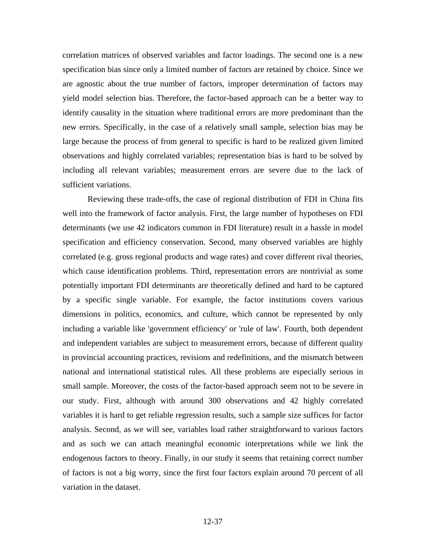correlation matrices of observed variables and factor loadings. The second one is a new specification bias since only a limited number of factors are retained by choice. Since we are agnostic about the true number of factors, improper determination of factors may yield model selection bias. Therefore, the factor-based approach can be a better way to identify causality in the situation where traditional errors are more predominant than the new errors. Specifically, in the case of a relatively small sample, selection bias may be large because the process of from general to specific is hard to be realized given limited observations and highly correlated variables; representation bias is hard to be solved by including all relevant variables; measurement errors are severe due to the lack of sufficient variations.

Reviewing these trade-offs, the case of regional distribution of FDI in China fits well into the framework of factor analysis. First, the large number of hypotheses on FDI determinants (we use 42 indicators common in FDI literature) result in a hassle in model specification and efficiency conservation. Second, many observed variables are highly correlated (e.g. gross regional products and wage rates) and cover different rival theories, which cause identification problems. Third, representation errors are nontrivial as some potentially important FDI determinants are theoretically defined and hard to be captured by a specific single variable. For example, the factor institutions covers various dimensions in politics, economics, and culture, which cannot be represented by only including a variable like 'government efficiency' or 'rule of law'. Fourth, both dependent and independent variables are subject to measurement errors, because of different quality in provincial accounting practices, revisions and redefinitions, and the mismatch between national and international statistical rules. All these problems are especially serious in small sample. Moreover, the costs of the factor-based approach seem not to be severe in our study. First, although with around 300 observations and 42 highly correlated variables it is hard to get reliable regression results, such a sample size suffices for factor analysis. Second, as we will see, variables load rather straightforward to various factors and as such we can attach meaningful economic interpretations while we link the endogenous factors to theory. Finally, in our study it seems that retaining correct number of factors is not a big worry, since the first four factors explain around 70 percent of all variation in the dataset.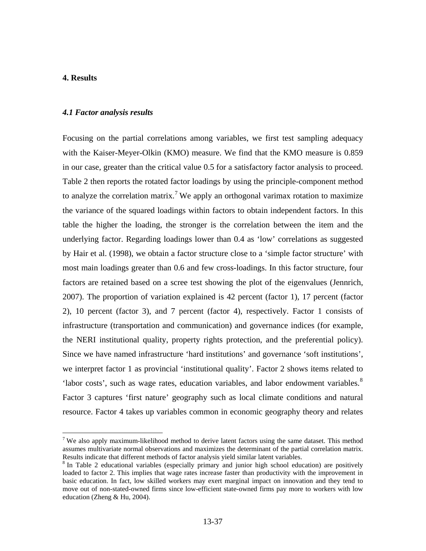#### **4. Results**

1

#### *4.1 Factor analysis results*

Focusing on the partial correlations among variables, we first test sampling adequacy with the Kaiser-Meyer-Olkin (KMO) measure. We find that the KMO measure is 0.859 in our case, greater than the critical value 0.5 for a satisfactory factor analysis to proceed. Table 2 then reports the rotated factor loadings by using the principle-component method to analyze the correlation matrix.<sup>[7](#page-12-0)</sup> We apply an orthogonal varimax rotation to maximize the variance of the squared loadings within factors to obtain independent factors. In this table the higher the loading, the stronger is the correlation between the item and the underlying factor. Regarding loadings lower than 0.4 as 'low' correlations as suggested by Hair et al. (1998), we obtain a factor structure close to a 'simple factor structure' with most main loadings greater than 0.6 and few cross-loadings. In this factor structure, four factors are retained based on a scree test showing the plot of the eigenvalues (Jennrich, 2007). The proportion of variation explained is 42 percent (factor 1), 17 percent (factor 2), 10 percent (factor 3), and 7 percent (factor 4), respectively. Factor 1 consists of infrastructure (transportation and communication) and governance indices (for example, the NERI institutional quality, property rights protection, and the preferential policy). Since we have named infrastructure 'hard institutions' and governance 'soft institutions', we interpret factor 1 as provincial 'institutional quality'. Factor 2 shows items related to 'labor costs', such as wage rates, education variables, and labor endowment variables.<sup>[8](#page-12-1)</sup> Factor 3 captures 'first nature' geography such as local climate conditions and natural resource. Factor 4 takes up variables common in economic geography theory and relates

<span id="page-12-0"></span><sup>&</sup>lt;sup>7</sup> We also apply maximum-likelihood method to derive latent factors using the same dataset. This method assumes multivariate normal observations and maximizes the determinant of the partial correlation matrix. Results indicate that different methods of factor analysis yield similar latent variables.

<span id="page-12-1"></span><sup>&</sup>lt;sup>8</sup> In Table 2 educational variables (especially primary and junior high school education) are positively loaded to factor 2. This implies that wage rates increase faster than productivity with the improvement in basic education. In fact, low skilled workers may exert marginal impact on innovation and they tend to move out of non-stated-owned firms since low-efficient state-owned firms pay more to workers with low education (Zheng & Hu, 2004).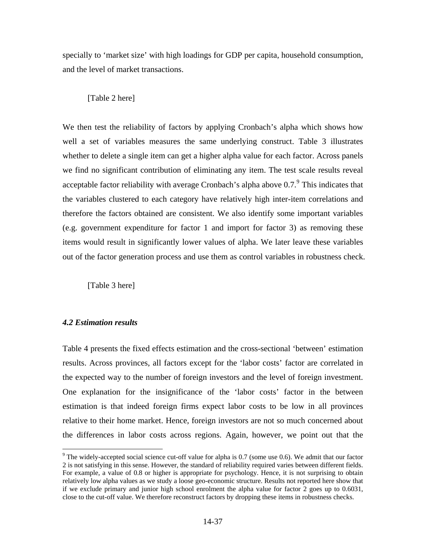specially to 'market size' with high loadings for GDP per capita, household consumption, and the level of market transactions.

## [Table 2 here]

We then test the reliability of factors by applying Cronbach's alpha which shows how well a set of variables measures the same underlying construct. Table 3 illustrates whether to delete a single item can get a higher alpha value for each factor. Across panels we find no significant contribution of eliminating any item. The test scale results reveal acceptable factor reliability with average Cronbach's alpha above  $0.7$ . This indicates that the variables clustered to each category have relatively high inter-item correlations and therefore the factors obtained are consistent. We also identify some important variables (e.g. government expenditure for factor 1 and import for factor 3) as removing these items would result in significantly lower values of alpha. We later leave these variables out of the factor generation process and use them as control variables in robustness check.

[Table 3 here]

## *4.2 Estimation results*

 $\overline{a}$ 

Table 4 presents the fixed effects estimation and the cross-sectional 'between' estimation results. Across provinces, all factors except for the 'labor costs' factor are correlated in the expected way to the number of foreign investors and the level of foreign investment. One explanation for the insignificance of the 'labor costs' factor in the between estimation is that indeed foreign firms expect labor costs to be low in all provinces relative to their home market. Hence, foreign investors are not so much concerned about the differences in labor costs across regions. Again, however, we point out that the

<span id="page-13-0"></span> $9$  The widely-accepted social science cut-off value for alpha is 0.7 (some use 0.6). We admit that our factor 2 is not satisfying in this sense. However, the standard of reliability required varies between different fields. For example, a value of 0.8 or higher is appropriate for psychology. Hence, it is not surprising to obtain relatively low alpha values as we study a loose geo-economic structure. Results not reported here show that if we exclude primary and junior high school enrolment the alpha value for factor 2 goes up to 0.6031, close to the cut-off value. We therefore reconstruct factors by dropping these items in robustness checks.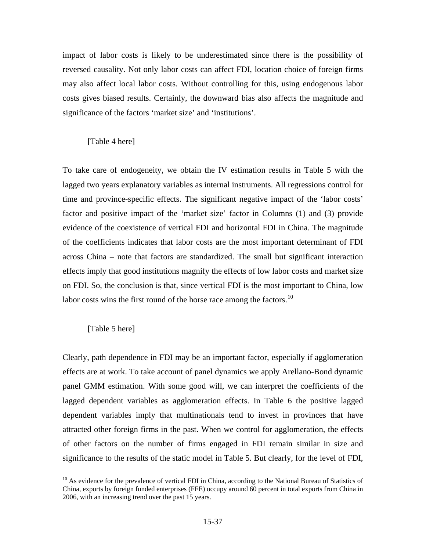impact of labor costs is likely to be underestimated since there is the possibility of reversed causality. Not only labor costs can affect FDI, location choice of foreign firms may also affect local labor costs. Without controlling for this, using endogenous labor costs gives biased results. Certainly, the downward bias also affects the magnitude and significance of the factors 'market size' and 'institutions'.

## [Table 4 here]

To take care of endogeneity, we obtain the IV estimation results in Table 5 with the lagged two years explanatory variables as internal instruments. All regressions control for time and province-specific effects. The significant negative impact of the 'labor costs' factor and positive impact of the 'market size' factor in Columns (1) and (3) provide evidence of the coexistence of vertical FDI and horizontal FDI in China. The magnitude of the coefficients indicates that labor costs are the most important determinant of FDI across China – note that factors are standardized. The small but significant interaction effects imply that good institutions magnify the effects of low labor costs and market size on FDI. So, the conclusion is that, since vertical FDI is the most important to China, low labor costs wins the first round of the horse race among the factors.<sup>[10](#page-14-0)</sup>

## [Table 5 here]

 $\overline{a}$ 

Clearly, path dependence in FDI may be an important factor, especially if agglomeration effects are at work. To take account of panel dynamics we apply Arellano-Bond dynamic panel GMM estimation. With some good will, we can interpret the coefficients of the lagged dependent variables as agglomeration effects. In Table 6 the positive lagged dependent variables imply that multinationals tend to invest in provinces that have attracted other foreign firms in the past. When we control for agglomeration, the effects of other factors on the number of firms engaged in FDI remain similar in size and significance to the results of the static model in Table 5. But clearly, for the level of FDI,

<span id="page-14-0"></span><sup>&</sup>lt;sup>10</sup> As evidence for the prevalence of vertical FDI in China, according to the National Bureau of Statistics of China, exports by foreign funded enterprises (FFE) occupy around 60 percent in total exports from China in 2006, with an increasing trend over the past 15 years.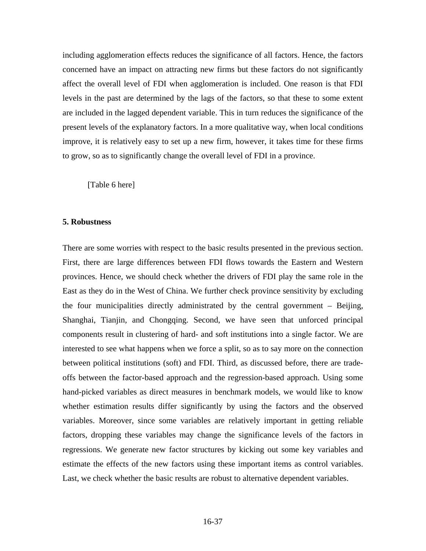including agglomeration effects reduces the significance of all factors. Hence, the factors concerned have an impact on attracting new firms but these factors do not significantly affect the overall level of FDI when agglomeration is included. One reason is that FDI levels in the past are determined by the lags of the factors, so that these to some extent are included in the lagged dependent variable. This in turn reduces the significance of the present levels of the explanatory factors. In a more qualitative way, when local conditions improve, it is relatively easy to set up a new firm, however, it takes time for these firms to grow, so as to significantly change the overall level of FDI in a province.

[Table 6 here]

#### **5. Robustness**

There are some worries with respect to the basic results presented in the previous section. First, there are large differences between FDI flows towards the Eastern and Western provinces. Hence, we should check whether the drivers of FDI play the same role in the East as they do in the West of China. We further check province sensitivity by excluding the four municipalities directly administrated by the central government – Beijing, Shanghai, Tianjin, and Chongqing. Second, we have seen that unforced principal components result in clustering of hard- and soft institutions into a single factor. We are interested to see what happens when we force a split, so as to say more on the connection between political institutions (soft) and FDI. Third, as discussed before, there are tradeoffs between the factor-based approach and the regression-based approach. Using some hand-picked variables as direct measures in benchmark models, we would like to know whether estimation results differ significantly by using the factors and the observed variables. Moreover, since some variables are relatively important in getting reliable factors, dropping these variables may change the significance levels of the factors in regressions. We generate new factor structures by kicking out some key variables and estimate the effects of the new factors using these important items as control variables. Last, we check whether the basic results are robust to alternative dependent variables.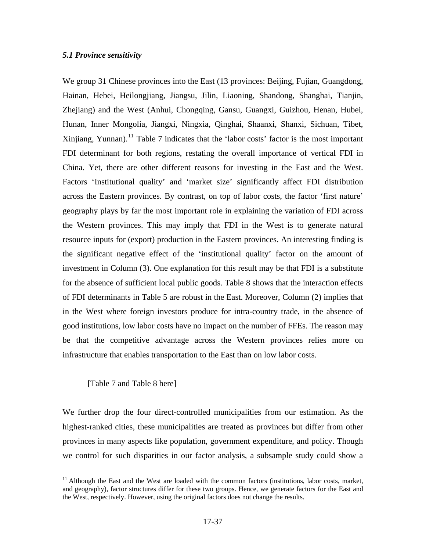## *5.1 Province sensitivity*

We group 31 Chinese provinces into the East (13 provinces: Beijing, Fujian, Guangdong, Hainan, Hebei, Heilongjiang, Jiangsu, Jilin, Liaoning, Shandong, Shanghai, Tianjin, Zhejiang) and the West (Anhui, Chongqing, Gansu, Guangxi, Guizhou, Henan, Hubei, Hunan, Inner Mongolia, Jiangxi, Ningxia, Qinghai, Shaanxi, Shanxi, Sichuan, Tibet, Xinjiang, Yunnan).<sup>[11](#page-16-0)</sup> Table 7 indicates that the 'labor costs' factor is the most important FDI determinant for both regions, restating the overall importance of vertical FDI in China. Yet, there are other different reasons for investing in the East and the West. Factors 'Institutional quality' and 'market size' significantly affect FDI distribution across the Eastern provinces. By contrast, on top of labor costs, the factor 'first nature' geography plays by far the most important role in explaining the variation of FDI across the Western provinces. This may imply that FDI in the West is to generate natural resource inputs for (export) production in the Eastern provinces. An interesting finding is the significant negative effect of the 'institutional quality' factor on the amount of investment in Column (3). One explanation for this result may be that FDI is a substitute for the absence of sufficient local public goods. Table 8 shows that the interaction effects of FDI determinants in Table 5 are robust in the East. Moreover, Column (2) implies that in the West where foreign investors produce for intra-country trade, in the absence of good institutions, low labor costs have no impact on the number of FFEs. The reason may be that the competitive advantage across the Western provinces relies more on infrastructure that enables transportation to the East than on low labor costs.

## [Table 7 and Table 8 here]

 $\overline{a}$ 

We further drop the four direct-controlled municipalities from our estimation. As the highest-ranked cities, these municipalities are treated as provinces but differ from other provinces in many aspects like population, government expenditure, and policy. Though we control for such disparities in our factor analysis, a subsample study could show a

<span id="page-16-0"></span><sup>&</sup>lt;sup>11</sup> Although the East and the West are loaded with the common factors (institutions, labor costs, market, and geography), factor structures differ for these two groups. Hence, we generate factors for the East and the West, respectively. However, using the original factors does not change the results.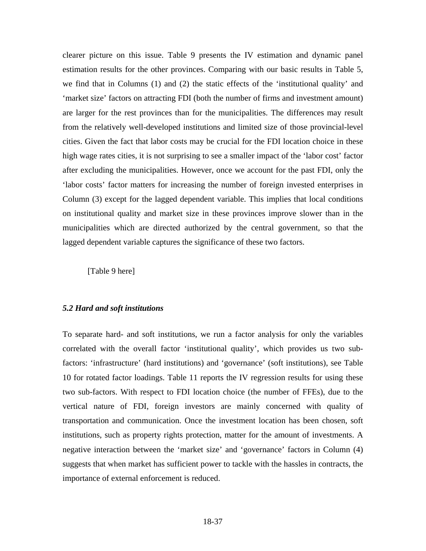clearer picture on this issue. Table 9 presents the IV estimation and dynamic panel estimation results for the other provinces. Comparing with our basic results in Table 5, we find that in Columns (1) and (2) the static effects of the 'institutional quality' and 'market size' factors on attracting FDI (both the number of firms and investment amount) are larger for the rest provinces than for the municipalities. The differences may result from the relatively well-developed institutions and limited size of those provincial-level cities. Given the fact that labor costs may be crucial for the FDI location choice in these high wage rates cities, it is not surprising to see a smaller impact of the 'labor cost' factor after excluding the municipalities. However, once we account for the past FDI, only the 'labor costs' factor matters for increasing the number of foreign invested enterprises in Column (3) except for the lagged dependent variable. This implies that local conditions on institutional quality and market size in these provinces improve slower than in the municipalities which are directed authorized by the central government, so that the lagged dependent variable captures the significance of these two factors.

[Table 9 here]

#### *5.2 Hard and soft institutions*

To separate hard- and soft institutions, we run a factor analysis for only the variables correlated with the overall factor 'institutional quality', which provides us two subfactors: 'infrastructure' (hard institutions) and 'governance' (soft institutions), see Table 10 for rotated factor loadings. Table 11 reports the IV regression results for using these two sub-factors. With respect to FDI location choice (the number of FFEs), due to the vertical nature of FDI, foreign investors are mainly concerned with quality of transportation and communication. Once the investment location has been chosen, soft institutions, such as property rights protection, matter for the amount of investments. A negative interaction between the 'market size' and 'governance' factors in Column (4) suggests that when market has sufficient power to tackle with the hassles in contracts, the importance of external enforcement is reduced.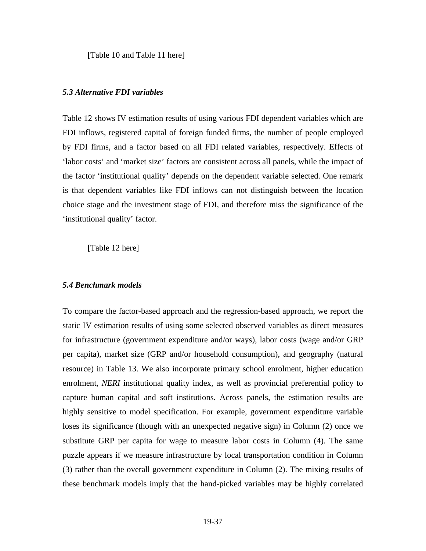[Table 10 and Table 11 here]

#### *5.3 Alternative FDI variables*

Table 12 shows IV estimation results of using various FDI dependent variables which are FDI inflows, registered capital of foreign funded firms, the number of people employed by FDI firms, and a factor based on all FDI related variables, respectively. Effects of 'labor costs' and 'market size' factors are consistent across all panels, while the impact of the factor 'institutional quality' depends on the dependent variable selected. One remark is that dependent variables like FDI inflows can not distinguish between the location choice stage and the investment stage of FDI, and therefore miss the significance of the 'institutional quality' factor.

[Table 12 here]

#### *5.4 Benchmark models*

To compare the factor-based approach and the regression-based approach, we report the static IV estimation results of using some selected observed variables as direct measures for infrastructure (government expenditure and/or ways), labor costs (wage and/or GRP per capita), market size (GRP and/or household consumption), and geography (natural resource) in Table 13. We also incorporate primary school enrolment, higher education enrolment, *NERI* institutional quality index, as well as provincial preferential policy to capture human capital and soft institutions. Across panels, the estimation results are highly sensitive to model specification. For example, government expenditure variable loses its significance (though with an unexpected negative sign) in Column (2) once we substitute GRP per capita for wage to measure labor costs in Column (4). The same puzzle appears if we measure infrastructure by local transportation condition in Column (3) rather than the overall government expenditure in Column (2). The mixing results of these benchmark models imply that the hand-picked variables may be highly correlated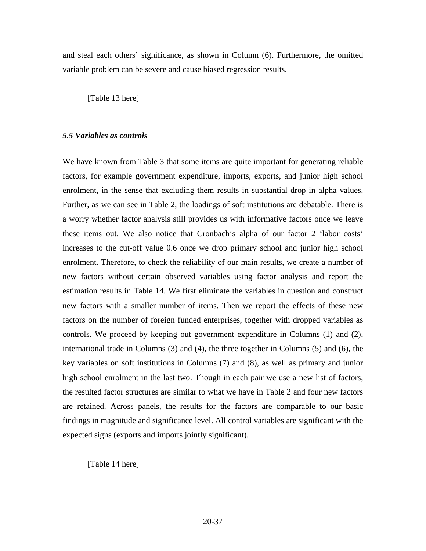and steal each others' significance, as shown in Column (6). Furthermore, the omitted variable problem can be severe and cause biased regression results.

[Table 13 here]

## *5.5 Variables as controls*

We have known from Table 3 that some items are quite important for generating reliable factors, for example government expenditure, imports, exports, and junior high school enrolment, in the sense that excluding them results in substantial drop in alpha values. Further, as we can see in Table 2, the loadings of soft institutions are debatable. There is a worry whether factor analysis still provides us with informative factors once we leave these items out. We also notice that Cronbach's alpha of our factor 2 'labor costs' increases to the cut-off value 0.6 once we drop primary school and junior high school enrolment. Therefore, to check the reliability of our main results, we create a number of new factors without certain observed variables using factor analysis and report the estimation results in Table 14. We first eliminate the variables in question and construct new factors with a smaller number of items. Then we report the effects of these new factors on the number of foreign funded enterprises, together with dropped variables as controls. We proceed by keeping out government expenditure in Columns (1) and (2), international trade in Columns (3) and (4), the three together in Columns (5) and (6), the key variables on soft institutions in Columns (7) and (8), as well as primary and junior high school enrolment in the last two. Though in each pair we use a new list of factors, the resulted factor structures are similar to what we have in Table 2 and four new factors are retained. Across panels, the results for the factors are comparable to our basic findings in magnitude and significance level. All control variables are significant with the expected signs (exports and imports jointly significant).

[Table 14 here]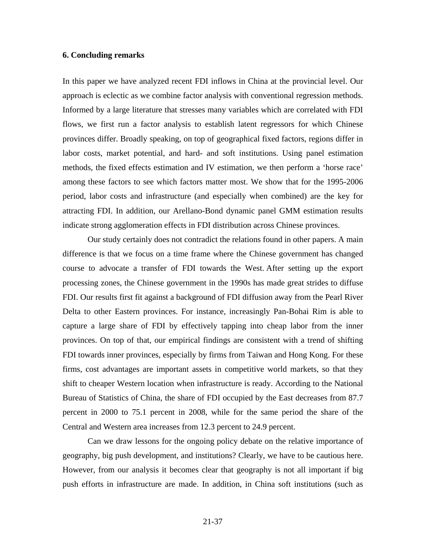## **6. Concluding remarks**

In this paper we have analyzed recent FDI inflows in China at the provincial level. Our approach is eclectic as we combine factor analysis with conventional regression methods. Informed by a large literature that stresses many variables which are correlated with FDI flows, we first run a factor analysis to establish latent regressors for which Chinese provinces differ. Broadly speaking, on top of geographical fixed factors, regions differ in labor costs, market potential, and hard- and soft institutions. Using panel estimation methods, the fixed effects estimation and IV estimation, we then perform a 'horse race' among these factors to see which factors matter most. We show that for the 1995-2006 period, labor costs and infrastructure (and especially when combined) are the key for attracting FDI. In addition, our Arellano-Bond dynamic panel GMM estimation results indicate strong agglomeration effects in FDI distribution across Chinese provinces.

Our study certainly does not contradict the relations found in other papers. A main difference is that we focus on a time frame where the Chinese government has changed course to advocate a transfer of FDI towards the West. After setting up the export processing zones, the Chinese government in the 1990s has made great strides to diffuse FDI. Our results first fit against a background of FDI diffusion away from the Pearl River Delta to other Eastern provinces. For instance, increasingly Pan-Bohai Rim is able to capture a large share of FDI by effectively tapping into cheap labor from the inner provinces. On top of that, our empirical findings are consistent with a trend of shifting FDI towards inner provinces, especially by firms from Taiwan and Hong Kong. For these firms, cost advantages are important assets in competitive world markets, so that they shift to cheaper Western location when infrastructure is ready. According to the National Bureau of Statistics of China, the share of FDI occupied by the East decreases from 87.7 percent in 2000 to 75.1 percent in 2008, while for the same period the share of the Central and Western area increases from 12.3 percent to 24.9 percent.

Can we draw lessons for the ongoing policy debate on the relative importance of geography, big push development, and institutions? Clearly, we have to be cautious here. However, from our analysis it becomes clear that geography is not all important if big push efforts in infrastructure are made. In addition, in China soft institutions (such as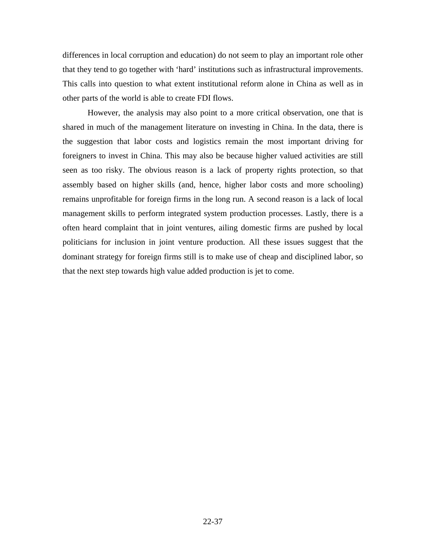differences in local corruption and education) do not seem to play an important role other that they tend to go together with 'hard' institutions such as infrastructural improvements. This calls into question to what extent institutional reform alone in China as well as in other parts of the world is able to create FDI flows.

However, the analysis may also point to a more critical observation, one that is shared in much of the management literature on investing in China. In the data, there is the suggestion that labor costs and logistics remain the most important driving for foreigners to invest in China. This may also be because higher valued activities are still seen as too risky. The obvious reason is a lack of property rights protection, so that assembly based on higher skills (and, hence, higher labor costs and more schooling) remains unprofitable for foreign firms in the long run. A second reason is a lack of local management skills to perform integrated system production processes. Lastly, there is a often heard complaint that in joint ventures, ailing domestic firms are pushed by local politicians for inclusion in joint venture production. All these issues suggest that the dominant strategy for foreign firms still is to make use of cheap and disciplined labor, so that the next step towards high value added production is jet to come.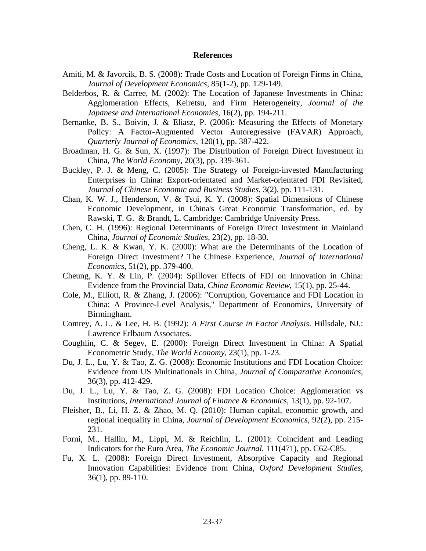#### **References**

- Amiti, M. & Javorcik, B. S. (2008): Trade Costs and Location of Foreign Firms in China, *Journal of Development Economics*, 85(1-2), pp. 129-149.
- Belderbos, R. & Carree, M. (2002): The Location of Japanese Investments in China: Agglomeration Effects, Keiretsu, and Firm Heterogeneity, *Journal of the Japanese and International Economies*, 16(2), pp. 194-211.
- Bernanke, B. S., Boivin, J. & Eliasz, P. (2006): Measuring the Effects of Monetary Policy: A Factor-Augmented Vector Autoregressive (FAVAR) Approach, *Quarterly Journal of Economics*, 120(1), pp. 387-422.
- Broadman, H. G. & Sun, X. (1997): The Distribution of Foreign Direct Investment in China, *The World Economy*, 20(3), pp. 339-361.
- Buckley, P. J. & Meng, C. (2005): The Strategy of Foreign-invested Manufacturing Enterprises in China: Export-orientated and Market-orientated FDI Revisited, *Journal of Chinese Economic and Business Studies*, 3(2), pp. 111-131.
- Chan, K. W. J., Henderson, V. & Tsui, K. Y. (2008): Spatial Dimensions of Chinese Economic Development, in China's Great Economic Transformation, ed. by Rawski, T. G. & Brandt, L. Cambridge: Cambridge University Press.
- Chen, C. H. (1996): Regional Determinants of Foreign Direct Investment in Mainland China, *Journal of Economic Studies*, 23(2), pp. 18-30.
- Cheng, L. K. & Kwan, Y. K. (2000): What are the Determinants of the Location of Foreign Direct Investment? The Chinese Experience, *Journal of International Economics*, 51(2), pp. 379-400.
- Cheung, K. Y. & Lin, P. (2004): Spillover Effects of FDI on Innovation in China: Evidence from the Provincial Data, *China Economic Review*, 15(1), pp. 25-44.
- Cole, M., Elliott, R. & Zhang, J. (2006): "Corruption, Governance and FDI Location in China: A Province-Level Analysis," Department of Economics, University of Birmingham.
- Comrey, A. L. & Lee, H. B. (1992): *A First Course in Factor Analysis*. Hillsdale, NJ.: Lawrence Erlbaum Associates.
- Coughlin, C. & Segev, E. (2000): Foreign Direct Investment in China: A Spatial Econometric Study, *The World Economy*, 23(1), pp. 1-23.
- Du, J. L., Lu, Y. & Tao, Z. G. (2008): Economic Institutions and FDI Location Choice: Evidence from US Multinationals in China, *Journal of Comparative Economics*, 36(3), pp. 412-429.
- Du, J. L., Lu, Y. & Tao, Z. G. (2008): FDI Location Choice: Agglomeration vs Institutions, *International Journal of Finance & Economics*, 13(1), pp. 92-107.
- Fleisher, B., Li, H. Z. & Zhao, M. Q. (2010): Human capital, economic growth, and regional inequality in China, *Journal of Development Economics*, 92(2), pp. 215- 231.
- Forni, M., Hallin, M., Lippi, M. & Reichlin, L. (2001): Coincident and Leading Indicators for the Euro Area, *The Economic Journal*, 111(471), pp. C62-C85.
- Fu, X. L. (2008): Foreign Direct Investment, Absorptive Capacity and Regional Innovation Capabilities: Evidence from China, *Oxford Development Studies*, 36(1), pp. 89-110.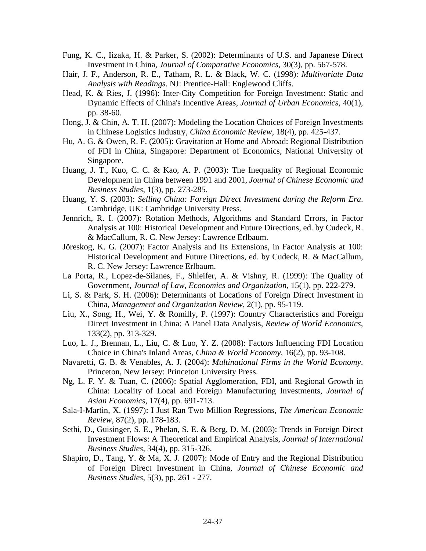- Fung, K. C., Iizaka, H. & Parker, S. (2002): Determinants of U.S. and Japanese Direct Investment in China, *Journal of Comparative Economics*, 30(3), pp. 567-578.
- Hair, J. F., Anderson, R. E., Tatham, R. L. & Black, W. C. (1998): *Multivariate Data Analysis with Readings*. NJ: Prentice-Hall: Englewood Cliffs.
- Head, K. & Ries, J. (1996): Inter-City Competition for Foreign Investment: Static and Dynamic Effects of China's Incentive Areas, *Journal of Urban Economics*, 40(1), pp. 38-60.
- Hong, J. & Chin, A. T. H. (2007): Modeling the Location Choices of Foreign Investments in Chinese Logistics Industry, *China Economic Review*, 18(4), pp. 425-437.
- Hu, A. G. & Owen, R. F. (2005): Gravitation at Home and Abroad: Regional Distribution of FDI in China, Singapore: Department of Economics, National University of Singapore.
- Huang, J. T., Kuo, C. C. & Kao, A. P. (2003): The Inequality of Regional Economic Development in China between 1991 and 2001, *Journal of Chinese Economic and Business Studies*, 1(3), pp. 273-285.
- Huang, Y. S. (2003): *Selling China: Foreign Direct Investment during the Reform Era*. Cambridge, UK: Cambridge University Press.
- Jennrich, R. I. (2007): Rotation Methods, Algorithms and Standard Errors, in Factor Analysis at 100: Historical Development and Future Directions, ed. by Cudeck, R. & MacCallum, R. C. New Jersey: Lawrence Erlbaum.
- Jöreskog, K. G. (2007): Factor Analysis and Its Extensions, in Factor Analysis at 100: Historical Development and Future Directions, ed. by Cudeck, R. & MacCallum, R. C. New Jersey: Lawrence Erlbaum.
- La Porta, R., Lopez-de-Silanes, F., Shleifer, A. & Vishny, R. (1999): The Quality of Government, *Journal of Law, Economics and Organization*, 15(1), pp. 222-279.
- Li, S. & Park, S. H. (2006): Determinants of Locations of Foreign Direct Investment in China, *Management and Organization Review*, 2(1), pp. 95-119.
- Liu, X., Song, H., Wei, Y. & Romilly, P. (1997): Country Characteristics and Foreign Direct Investment in China: A Panel Data Analysis, *Review of World Economics*, 133(2), pp. 313-329.
- Luo, L. J., Brennan, L., Liu, C. & Luo, Y. Z. (2008): Factors Influencing FDI Location Choice in China's Inland Areas, *China & World Economy*, 16(2), pp. 93-108.
- Navaretti, G. B. & Venables, A. J. (2004): *Multinational Firms in the World Economy*. Princeton, New Jersey: Princeton University Press.
- Ng, L. F. Y. & Tuan, C. (2006): Spatial Agglomeration, FDI, and Regional Growth in China: Locality of Local and Foreign Manufacturing Investments, *Journal of Asian Economics*, 17(4), pp. 691-713.
- Sala-I-Martin, X. (1997): I Just Ran Two Million Regressions, *The American Economic Review*, 87(2), pp. 178-183.
- Sethi, D., Guisinger, S. E., Phelan, S. E. & Berg, D. M. (2003): Trends in Foreign Direct Investment Flows: A Theoretical and Empirical Analysis, *Journal of International Business Studies*, 34(4), pp. 315-326.
- Shapiro, D., Tang, Y. & Ma, X. J. (2007): Mode of Entry and the Regional Distribution of Foreign Direct Investment in China, *Journal of Chinese Economic and Business Studies*, 5(3), pp. 261 - 277.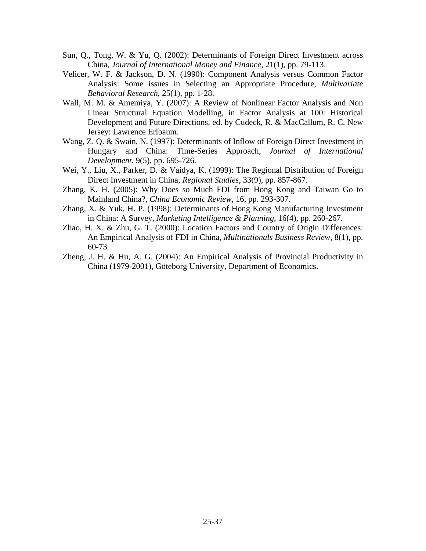- Sun, Q., Tong, W. & Yu, Q. (2002): Determinants of Foreign Direct Investment across China, *Journal of International Money and Finance*, 21(1), pp. 79-113.
- Velicer, W. F. & Jackson, D. N. (1990): Component Analysis versus Common Factor Analysis: Some issues in Selecting an Appropriate Procedure, *Multivariate Behavioral Research*, 25(1), pp. 1-28.
- Wall, M. M. & Amemiya, Y. (2007): A Review of Nonlinear Factor Analysis and Non Linear Structural Equation Modelling, in Factor Analysis at 100: Historical Development and Future Directions, ed. by Cudeck, R. & MacCallum, R. C. New Jersey: Lawrence Erlbaum.
- Wang, Z. Q. & Swain, N. (1997): Determinants of Inflow of Foreign Direct Investment in Hungary and China: Time-Series Approach, *Journal of International Development*, 9(5), pp. 695-726.
- Wei, Y., Liu, X., Parker, D. & Vaidya, K. (1999): The Regional Distribution of Foreign Direct Investment in China, *Regional Studies*, 33(9), pp. 857-867.
- Zhang, K. H. (2005): Why Does so Much FDI from Hong Kong and Taiwan Go to Mainland China?, *China Economic Review*, 16, pp. 293-307.
- Zhang, X. & Yuk, H. P. (1998): Determinants of Hong Kong Manufacturing Investment in China: A Survey, *Marketing Intelligence & Planning*, 16(4), pp. 260-267.
- Zhao, H. X. & Zhu, G. T. (2000): Location Factors and Country of Origin Differences: An Empirical Analysis of FDI in China, *Multinationals Business Review*, 8(1), pp. 60-73.
- Zheng, J. H. & Hu, A. G. (2004): An Empirical Analysis of Provincial Productivity in China (1979-2001), Göteborg University, Department of Economics.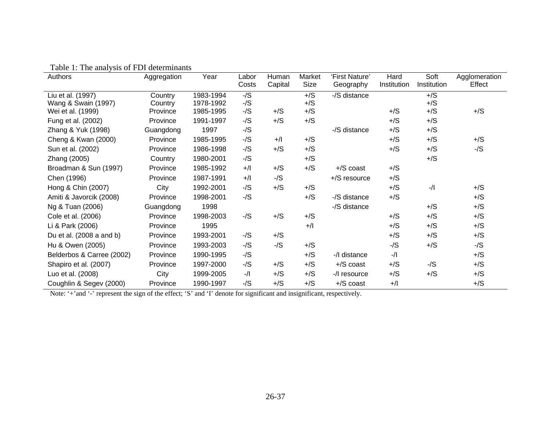| Authors                   | Aggregation | Year      | Labor       | Human       | Market | 'First Nature'  | Hard        | Soft        | Agglomeration |
|---------------------------|-------------|-----------|-------------|-------------|--------|-----------------|-------------|-------------|---------------|
|                           |             |           | Costs       | Capital     | Size   | Geography       | Institution | Institution | Effect        |
| Liu et al. (1997)         | Country     | 1983-1994 | $-/S$       |             | $+$ /S | -/S distance    |             | $+$ /S      |               |
| Wang & Swain (1997)       | Country     | 1978-1992 | $-\sqrt{S}$ |             | $+$ /S |                 |             | $+$ /S      |               |
| Wei et al. (1999)         | Province    | 1985-1995 | $-\sqrt{S}$ | $+$ /S      | $+$ /S |                 | $+$ /S      | $+$ /S      | $+$ /S        |
| Fung et al. (2002)        | Province    | 1991-1997 | -/S         | $+$ /S      | $+$ /S |                 | $+$ /S      | $+$ /S      |               |
| Zhang & Yuk (1998)        | Guangdong   | 1997      | $-/S$       |             |        | -/S distance    | $+$ /S      | $+$ /S      |               |
| Cheng & Kwan (2000)       | Province    | 1985-1995 | $-\sqrt{S}$ | $+$ /l      | $+$ /S |                 | $+$ /S      | $+$ /S      | $+$ /S        |
| Sun et al. (2002)         | Province    | 1986-1998 | -/S         | $+$ /S      | $+$ /S |                 | $+$ /S      | $+$ /S      | $-\sqrt{S}$   |
| Zhang (2005)              | Country     | 1980-2001 | $-/S$       |             | $+$ /S |                 |             | $+$ /S      |               |
| Broadman & Sun (1997)     | Province    | 1985-1992 | $+$ /l      | $+$ /S      | $+$ /S | $+$ /S coast    | $+$ /S      |             |               |
| Chen (1996)               | Province    | 1987-1991 | $+$ /l      | $-\sqrt{S}$ |        | $+$ /S resource | $+$ /S      |             |               |
| Hong & Chin (2007)        | City        | 1992-2001 | $-/S$       | $+$ /S      | $+$ /S |                 | $+$ /S      | $-$ /l      | $+$ /S        |
| Amiti & Javorcik (2008)   | Province    | 1998-2001 | $-\sqrt{S}$ |             | $+$ /S | -/S distance    | $+$ /S      |             | $+$ /S        |
| Ng & Tuan (2006)          | Guangdong   | 1998      |             |             |        | -/S distance    |             | $+$ /S      | $+$ /S        |
| Cole et al. (2006)        | Province    | 1998-2003 | $-\sqrt{S}$ | $+$ /S      | $+$ /S |                 | $+$ /S      | $+$ /S      | $+$ /S        |
| Li & Park (2006)          | Province    | 1995      |             |             | $+$ /l |                 | $+$ /S      | $+$ /S      | $+$ /S        |
| Du et al. (2008 a and b)  | Province    | 1993-2001 | $-\sqrt{S}$ | $+$ /S      |        |                 | $+$ /S      | $+$ /S      | $+$ /S        |
| Hu & Owen (2005)          | Province    | 1993-2003 | $-\sqrt{S}$ | $-\sqrt{S}$ | $+$ /S |                 | $-/S$       | $+$ /S      | $-\sqrt{S}$   |
| Belderbos & Carree (2002) | Province    | 1990-1995 | $-\sqrt{S}$ |             | $+$ /S | -/I distance    | $-$ /l      |             | $+$ /S        |
| Shapiro et al. (2007)     | Province    | 1997-2000 | $-/S$       | $+$ /S      | $+$ /S | $+$ /S coast    | $+$ /S      | $-\sqrt{S}$ | $+$ /S        |
| Luo et al. (2008)         | City        | 1999-2005 | $-$ /l      | $+$ /S      | $+$ /S | -/l resource    | $+$ /S      | $+$ /S      | $+$ /S        |
| Coughlin & Segev (2000)   | Province    | 1990-1997 | $-\sqrt{S}$ | $+$ /S      | $+$ /S | +/S coast       | $+$ /l      |             | $+$ /S        |

Table 1: The analysis of FDI determinants

Note: '+'and '-' represent the sign of the effect; 'S' and 'I' denote for significant and insignificant, respectively.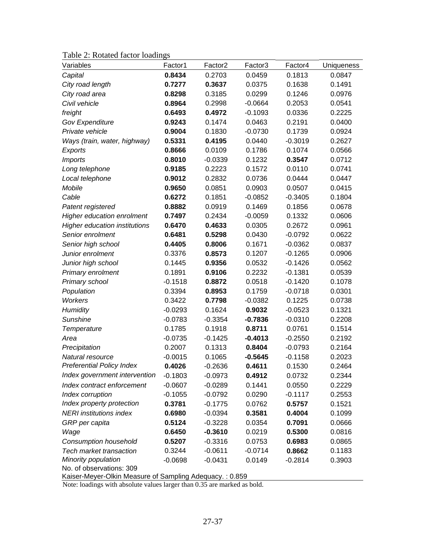|  | Table 2: Rotated factor loadings |  |
|--|----------------------------------|--|
|--|----------------------------------|--|

| Variables                                                                           | Factor1   | Factor <sub>2</sub> | Factor <sub>3</sub> | Factor4   | <b>Uniqueness</b> |  |
|-------------------------------------------------------------------------------------|-----------|---------------------|---------------------|-----------|-------------------|--|
| Capital                                                                             | 0.8434    | 0.2703              | 0.0459              | 0.1813    | 0.0847            |  |
| City road length                                                                    | 0.7277    | 0.3637              | 0.0375              | 0.1638    | 0.1491            |  |
| City road area                                                                      | 0.8298    | 0.3185              | 0.0299              | 0.1246    | 0.0976            |  |
| Civil vehicle                                                                       | 0.8964    | 0.2998              | $-0.0664$           | 0.2053    | 0.0541            |  |
| freight                                                                             | 0.6493    | 0.4972              | $-0.1093$           | 0.0336    | 0.2225            |  |
| <b>Gov Expenditure</b>                                                              | 0.9243    | 0.1474              | 0.0463              | 0.2191    | 0.0400            |  |
| Private vehicle                                                                     | 0.9004    | 0.1830              | $-0.0730$           | 0.1739    | 0.0924            |  |
| Ways (train, water, highway)                                                        | 0.5331    | 0.4195              | 0.0440              | $-0.3019$ | 0.2627            |  |
| Exports                                                                             | 0.8666    | 0.0109              | 0.1786              | 0.1074    | 0.0566            |  |
| <b>Imports</b>                                                                      | 0.8010    | $-0.0339$           | 0.1232              | 0.3547    | 0.0712            |  |
| Long telephone                                                                      | 0.9185    | 0.2223              | 0.1572              | 0.0110    | 0.0741            |  |
| Local telephone                                                                     | 0.9012    | 0.2832              | 0.0736              | 0.0444    | 0.0447            |  |
| Mobile                                                                              | 0.9650    | 0.0851              | 0.0903              | 0.0507    | 0.0415            |  |
| Cable                                                                               | 0.6272    | 0.1851              | $-0.0852$           | $-0.3405$ | 0.1804            |  |
| Patent registered                                                                   | 0.8882    | 0.0919              | 0.1469              | 0.1856    | 0.0678            |  |
| <b>Higher education enrolment</b>                                                   | 0.7497    | 0.2434              | $-0.0059$           | 0.1332    | 0.0606            |  |
| Higher education institutions                                                       | 0.6470    | 0.4633              | 0.0305              | 0.2672    | 0.0961            |  |
| Senior enrolment                                                                    | 0.6481    | 0.5298              | 0.0430              | $-0.0792$ | 0.0622            |  |
| Senior high school                                                                  | 0.4405    | 0.8006              | 0.1671              | $-0.0362$ | 0.0837            |  |
| Junior enrolment                                                                    | 0.3376    | 0.8573              | 0.1207              | $-0.1265$ | 0.0906            |  |
| Junior high school                                                                  | 0.1445    | 0.9356              | 0.0532              | $-0.1426$ | 0.0562            |  |
| Primary enrolment                                                                   | 0.1891    | 0.9106              | 0.2232              | $-0.1381$ | 0.0539            |  |
| Primary school                                                                      | $-0.1518$ | 0.8872              | 0.0518              | $-0.1420$ | 0.1078            |  |
| Population                                                                          | 0.3394    | 0.8953              | 0.1759              | $-0.0718$ | 0.0301            |  |
| Workers                                                                             | 0.3422    | 0.7798              | $-0.0382$           | 0.1225    | 0.0738            |  |
| Humidity                                                                            | $-0.0293$ | 0.1624              | 0.9032              | $-0.0523$ | 0.1321            |  |
| <b>Sunshine</b>                                                                     | $-0.0783$ | $-0.3354$           | $-0.7836$           | $-0.0310$ | 0.2208            |  |
| Temperature                                                                         | 0.1785    | 0.1918              | 0.8711              | 0.0761    | 0.1514            |  |
| Area                                                                                | $-0.0735$ | $-0.1425$           | $-0.4013$           | $-0.2550$ | 0.2192            |  |
| Precipitation                                                                       | 0.2007    | 0.1313              | 0.8404              | $-0.0793$ | 0.2164            |  |
| Natural resource                                                                    | $-0.0015$ | 0.1065              | $-0.5645$           | $-0.1158$ | 0.2023            |  |
| <b>Preferential Policy Index</b>                                                    | 0.4026    | $-0.2636$           | 0.4611              | 0.1530    | 0.2464            |  |
| Index government intervention                                                       | $-0.1803$ | $-0.0973$           | 0.4912              | 0.0732    | 0.2344            |  |
| Index contract enforcement                                                          | $-0.0607$ | $-0.0289$           | 0.1441              | 0.0550    | 0.2229            |  |
| Index corruption                                                                    | $-0.1055$ | $-0.0792$           | 0.0290              | $-0.1117$ | 0.2553            |  |
| Index property protection                                                           | 0.3781    | $-0.1775$           | 0.0762              | 0.5757    | 0.1521            |  |
| <b>NERI</b> institutions index                                                      | 0.6980    | $-0.0394$           | 0.3581              | 0.4004    | 0.1099            |  |
| GRP per capita                                                                      | 0.5124    | $-0.3228$           | 0.0354              | 0.7091    | 0.0666            |  |
| Wage                                                                                | 0.6450    | $-0.3610$           | 0.0219              | 0.5300    | 0.0816            |  |
| Consumption household                                                               | 0.5207    | $-0.3316$           | 0.0753              | 0.6983    | 0.0865            |  |
| Tech market transaction                                                             | 0.3244    | $-0.0611$           | $-0.0714$           | 0.8662    | 0.1183            |  |
| Minority population                                                                 | $-0.0698$ | $-0.0431$           | 0.0149              | $-0.2814$ | 0.3903            |  |
| No. of observations: 309<br>Kaiser-Meyer-Olkin Measure of Sampling Adequacy.: 0.859 |           |                     |                     |           |                   |  |

Note: loadings with absolute values larger than 0.35 are marked as bold.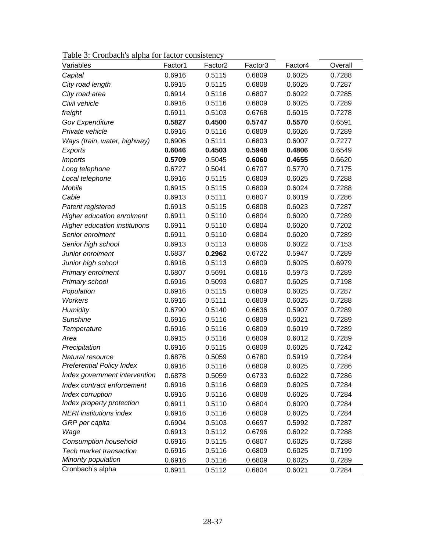| Table 3: Cronbach's alpha for factor consistency |  |  |  |
|--------------------------------------------------|--|--|--|
|--------------------------------------------------|--|--|--|

| Variables                            | Factor1 | Factor <sub>2</sub> | Factor <sub>3</sub> | Factor4 | Overall |
|--------------------------------------|---------|---------------------|---------------------|---------|---------|
| Capital                              | 0.6916  | 0.5115              | 0.6809              | 0.6025  | 0.7288  |
| City road length                     | 0.6915  | 0.5115              | 0.6808              | 0.6025  | 0.7287  |
| City road area                       | 0.6914  | 0.5116              | 0.6807              | 0.6022  | 0.7285  |
| Civil vehicle                        | 0.6916  | 0.5116              | 0.6809              | 0.6025  | 0.7289  |
| freight                              | 0.6911  | 0.5103              | 0.6768              | 0.6015  | 0.7278  |
| <b>Gov Expenditure</b>               | 0.5827  | 0.4500              | 0.5747              | 0.5570  | 0.6591  |
| Private vehicle                      | 0.6916  | 0.5116              | 0.6809              | 0.6026  | 0.7289  |
| Ways (train, water, highway)         | 0.6906  | 0.5111              | 0.6803              | 0.6007  | 0.7277  |
| Exports                              | 0.6046  | 0.4503              | 0.5948              | 0.4806  | 0.6549  |
| <b>Imports</b>                       | 0.5709  | 0.5045              | 0.6060              | 0.4655  | 0.6620  |
| Long telephone                       | 0.6727  | 0.5041              | 0.6707              | 0.5770  | 0.7175  |
| Local telephone                      | 0.6916  | 0.5115              | 0.6809              | 0.6025  | 0.7288  |
| Mobile                               | 0.6915  | 0.5115              | 0.6809              | 0.6024  | 0.7288  |
| Cable                                | 0.6913  | 0.5111              | 0.6807              | 0.6019  | 0.7286  |
| Patent registered                    | 0.6913  | 0.5115              | 0.6808              | 0.6023  | 0.7287  |
| <b>Higher education enrolment</b>    | 0.6911  | 0.5110              | 0.6804              | 0.6020  | 0.7289  |
| <b>Higher education institutions</b> | 0.6911  | 0.5110              | 0.6804              | 0.6020  | 0.7202  |
| Senior enrolment                     | 0.6911  | 0.5110              | 0.6804              | 0.6020  | 0.7289  |
| Senior high school                   | 0.6913  | 0.5113              | 0.6806              | 0.6022  | 0.7153  |
| Junior enrolment                     | 0.6837  | 0.2962              | 0.6722              | 0.5947  | 0.7289  |
| Junior high school                   | 0.6916  | 0.5113              | 0.6809              | 0.6025  | 0.6979  |
| Primary enrolment                    | 0.6807  | 0.5691              | 0.6816              | 0.5973  | 0.7289  |
| Primary school                       | 0.6916  | 0.5093              | 0.6807              | 0.6025  | 0.7198  |
| Population                           | 0.6916  | 0.5115              | 0.6809              | 0.6025  | 0.7287  |
| <b>Workers</b>                       | 0.6916  | 0.5111              | 0.6809              | 0.6025  | 0.7288  |
| Humidity                             | 0.6790  | 0.5140              | 0.6636              | 0.5907  | 0.7289  |
| <b>Sunshine</b>                      | 0.6916  | 0.5116              | 0.6809              | 0.6021  | 0.7289  |
| Temperature                          | 0.6916  | 0.5116              | 0.6809              | 0.6019  | 0.7289  |
| Area                                 | 0.6915  | 0.5116              | 0.6809              | 0.6012  | 0.7289  |
| Precipitation                        | 0.6916  | 0.5115              | 0.6809              | 0.6025  | 0.7242  |
| Natural resource                     | 0.6876  | 0.5059              | 0.6780              | 0.5919  | 0.7284  |
| <b>Preferential Policy Index</b>     | 0.6916  | 0.5116              | 0.6809              | 0.6025  | 0.7286  |
| Index government intervention        | 0.6878  | 0.5059              | 0.6733              | 0.6022  | 0.7286  |
| Index contract enforcement           | 0.6916  | 0.5116              | 0.6809              | 0.6025  | 0.7284  |
| Index corruption                     | 0.6916  | 0.5116              | 0.6808              | 0.6025  | 0.7284  |
| Index property protection            | 0.6911  | 0.5110              | 0.6804              | 0.6020  | 0.7284  |
| <b>NERI</b> institutions index       | 0.6916  | 0.5116              | 0.6809              | 0.6025  | 0.7284  |
| GRP per capita                       | 0.6904  | 0.5103              | 0.6697              | 0.5992  | 0.7287  |
| Wage                                 | 0.6913  | 0.5112              | 0.6796              | 0.6022  | 0.7288  |
| Consumption household                | 0.6916  | 0.5115              | 0.6807              | 0.6025  | 0.7288  |
| Tech market transaction              | 0.6916  | 0.5116              | 0.6809              | 0.6025  | 0.7199  |
| Minority population                  | 0.6916  | 0.5116              | 0.6809              | 0.6025  | 0.7289  |
| Cronbach's alpha                     | 0.6911  | 0.5112              | 0.6804              | 0.6021  | 0.7284  |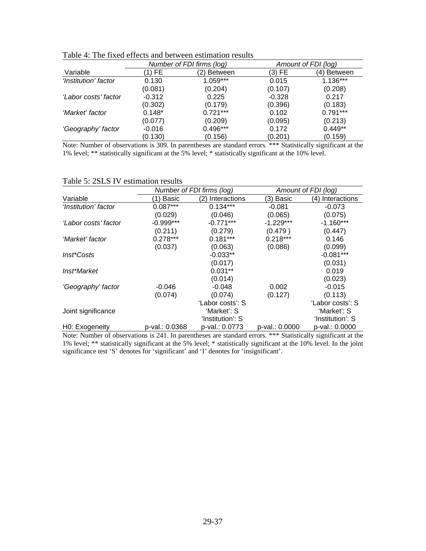|          |             |                           | Amount of FDI (log) |  |  |
|----------|-------------|---------------------------|---------------------|--|--|
| 1) FE    | (2) Between | (3) FE                    | (4) Between         |  |  |
| 0.130    | $1.059***$  | 0.015                     | $1.136***$          |  |  |
| (0.081)  | (0.204)     | (0.107)                   | (0.208)             |  |  |
| $-0.312$ | 0.225       | $-0.328$                  | 0.217               |  |  |
| (0.302)  | (0.179)     | (0.396)                   | (0.183)             |  |  |
| $0.148*$ | $0.721***$  | 0.102                     | $0.791***$          |  |  |
| (0.077)  | (0.209)     | (0.095)                   | (0.213)             |  |  |
| $-0.016$ | $0.496***$  | 0.172                     | $0.449**$           |  |  |
| (0.130)  | (0.156)     | (0.201)                   | (0.159)             |  |  |
|          |             | Number of FDI firms (log) |                     |  |  |

Table 4: The fixed effects and between estimation results

Note: Number of observations is 309. In parentheses are standard errors. \*\*\* Statistically significant at the 1% level; \*\* statistically significant at the 5% level; \* statistically significant at the 10% level.

#### Table 5: 2SLS IV estimation results

|                      |                | Number of FDI firms (log) | Amount of FDI (log) |                  |  |
|----------------------|----------------|---------------------------|---------------------|------------------|--|
| Variable             | 1) Basic       | (2) Interactions          | (3) Basic           | (4) Interactions |  |
| 'Institution' factor | $0.087***$     | $0.134***$                | $-0.081$            | $-0.073$         |  |
|                      | (0.029)        | (0.046)                   | (0.065)             | (0.075)          |  |
| 'Labor costs' factor | $-0.999***$    | $-0.771***$               | $-1.229***$         | $-1.160***$      |  |
|                      | (0.211)        | (0.279)                   | (0.479)             | (0.447)          |  |
| 'Market' factor      | $0.278***$     | $0.181***$                | $0.218***$          | 0.146            |  |
|                      | (0.037)        | (0.063)                   | (0.086)             | (0.099)          |  |
| Inst*Costs           |                | $-0.033**$                |                     | $-0.081***$      |  |
|                      |                | (0.017)                   |                     | (0.031)          |  |
| Inst*Market          |                | $0.031**$                 |                     | 0.019            |  |
|                      |                | (0.014)                   |                     | (0.023)          |  |
| 'Geography' factor   | $-0.046$       | $-0.048$                  | 0.002               | $-0.015$         |  |
|                      | (0.074)        | (0.074)                   | (0.127)             | (0.113)          |  |
|                      |                | 'Labor costs': S          |                     | 'Labor costs': S |  |
| Joint significance   |                | 'Market': S               |                     | 'Market': S      |  |
|                      |                | 'Institution': S          |                     | 'Institution': S |  |
| H0: Exogeneity       | p-val.: 0.0368 | p-val.: 0.0773            | p-val.: 0.0000      | p-val.: 0.0000   |  |

Note: Number of observations is 241. In parentheses are standard errors. \*\*\* Statistically significant at the 1% level; \*\* statistically significant at the 5% level; \* statistically significant at the 10% level. In the joint significance test 'S' denotes for 'significant' and 'I' denotes for 'insignificant'.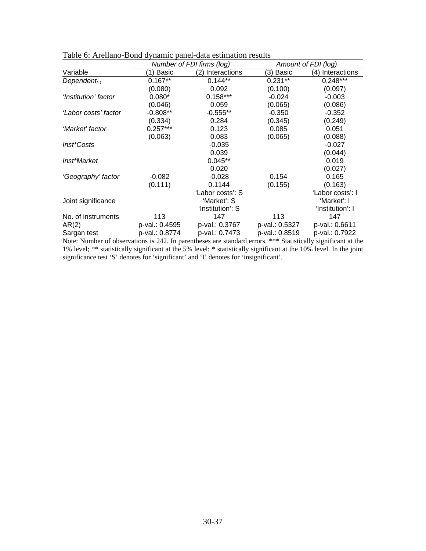|                          |                | Number of FDI firms (log) |                | Amount of FDI (log) |
|--------------------------|----------------|---------------------------|----------------|---------------------|
| Variable                 | (1) Basic      | (2)<br>Interactions       | (3) Basic      | Interactions<br>(4) |
| Dependent <sub>t-1</sub> | $0.167**$      | $0.144**$                 | $0.231**$      | $0.248***$          |
|                          | (0.080)        | 0.092                     | (0.100)        | (0.097)             |
| 'Institution' factor     | $0.080*$       | $0.158***$                | $-0.024$       | $-0.003$            |
|                          | (0.046)        | 0.059                     | (0.065)        | (0.086)             |
| 'Labor costs' factor     | $-0.808**$     | $-0.555**$                | $-0.350$       | $-0.352$            |
|                          | (0.334)        | 0.284                     | (0.345)        | (0.249)             |
| 'Market' factor          | $0.257***$     | 0.123                     | 0.085          | 0.051               |
|                          | (0.063)        | 0.083                     | (0.065)        | (0.088)             |
| Inst*Costs               |                | $-0.035$                  |                | $-0.027$            |
|                          |                | 0.039                     |                | (0.044)             |
| Inst*Market              |                | $0.045**$                 |                | 0.019               |
|                          |                | 0.020                     |                | (0.027)             |
| 'Geography' factor       | $-0.082$       | $-0.028$                  | 0.154          | 0.165               |
|                          | (0.111)        | 0.1144                    | (0.155)        | (0.163)             |
|                          |                | 'Labor costs': S          |                | 'Labor costs': I    |
| Joint significance       |                | 'Market': S               |                | 'Market': I         |
|                          |                | 'Institution': S          |                | 'Institution': I    |
| No. of instruments       | 113            | 147                       | 113            | 147                 |
| AR(2)                    | p-val.: 0.4595 | p-val.: 0.3767            | p-val.: 0.5327 | p-val.: 0.6611      |
| Sargan test              | p-val.: 0.8774 | p-val.: 0.7473            | p-val.: 0.8519 | p-val.: 0.7922      |

Table 6: Arellano-Bond dynamic panel-data estimation results

Note: Number of observations is 242. In parentheses are standard errors. \*\*\* Statistically significant at the 1% level; \*\* statistically significant at the 5% level; \* statistically significant at the 10% level. In the joint significance test 'S' denotes for 'significant' and 'I' denotes for 'insignificant'.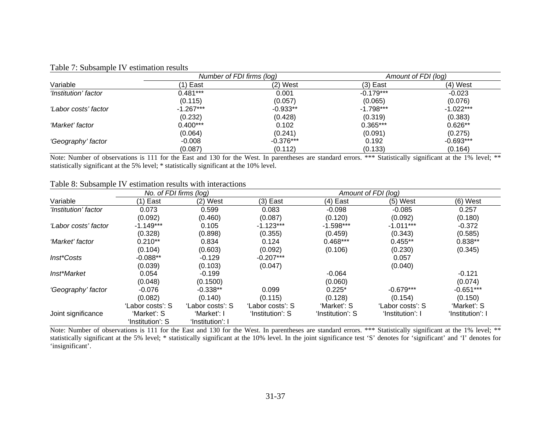|                      |             | Number of FDI firms (log) | Amount of FDI (log) |             |  |
|----------------------|-------------|---------------------------|---------------------|-------------|--|
| Variable             | 1) East     | $(2)$ West                | (3) East            | (4) West    |  |
| 'Institution' factor | $0.481***$  | 0.001                     | $-0.179***$         | $-0.023$    |  |
|                      | (0.115)     | (0.057)                   | (0.065)             | (0.076)     |  |
| 'Labor costs' factor | $-1.267***$ | $-0.933**$                | $-1.798***$         | $-1.022***$ |  |
|                      | (0.232)     | (0.428)                   | (0.319)             | (0.383)     |  |
| 'Market' factor      | $0.400***$  | 0.102                     | $0.365***$          | $0.626**$   |  |
|                      | (0.064)     | (0.241)                   | (0.091)             | (0.275)     |  |
| 'Geography' factor   | $-0.008$    | $-0.376***$               | 0.192               | $-0.693***$ |  |
|                      | (0.087)     | (0.112)                   | (0.133)             | (0.164)     |  |

## Table 7: Subsample IV estimation results

Note: Number of observations is 111 for the East and 130 for the West. In parentheses are standard errors. \*\*\* Statistically significant at the 1% level; \*\* statistically significant at the 5% level; \* statistically significant at the 10% level.

#### Table 8: Subsample IV estimation results with interactions

|                      | No. of FDI firms (log) |                  |                  |                  | Amount of FDI (log) |                  |
|----------------------|------------------------|------------------|------------------|------------------|---------------------|------------------|
| Variable             | (1) East               | $(2)$ West       | $(3)$ East       | $(4)$ East       | $(5)$ West          | $(6)$ West       |
| 'Institution' factor | 0.073                  | 0.599            | 0.083            | $-0.098$         | $-0.085$            | 0.257            |
|                      | (0.092)                | (0.460)          | (0.087)          | (0.120)          | (0.092)             | (0.180)          |
| 'Labor costs' factor | $-1.149***$            | 0.105            | $-1.123***$      | $-1.598***$      | $-1.011***$         | $-0.372$         |
|                      | (0.328)                | (0.898)          | (0.355)          | (0.459)          | (0.343)             | (0.585)          |
| 'Market' factor      | $0.210**$              | 0.834            | 0.124            | $0.468***$       | $0.455**$           | $0.838**$        |
|                      | (0.104)                | (0.603)          | (0.092)          | (0.106)          | (0.230)             | (0.345)          |
| Inst*Costs           | $-0.088**$             | $-0.129$         | $-0.207***$      |                  | 0.057               |                  |
|                      | (0.039)                | (0.103)          | (0.047)          |                  | (0.040)             |                  |
| Inst*Market          | 0.054                  | $-0.199$         |                  | $-0.064$         |                     | $-0.121$         |
|                      | (0.048)                | (0.1500)         |                  | (0.060)          |                     | (0.074)          |
| 'Geography' factor   | $-0.076$               | $-0.338**$       | 0.099            | $0.225*$         | $-0.679***$         | $-0.651***$      |
|                      | (0.082)                | (0.140)          | (0.115)          | (0.128)          | (0.154)             | (0.150)          |
|                      | 'Labor costs': S       | 'Labor costs': S | 'Labor costs': S | 'Market': S      | 'Labor costs': S    | 'Market': S      |
| Joint significance   | 'Market': S            | 'Market': I      | 'Institution': S | 'Institution': S | 'Institution': I    | 'Institution': I |
|                      | 'Institution': S       | 'Institution': I |                  |                  |                     |                  |

Note: Number of observations is 111 for the East and 130 for the West. In parentheses are standard errors. \*\*\* Statistically significant at the 1% level; \*\* statistically significant at the 5% level; \* statistically significant at the 10% level. In the joint significance test 'S' denotes for 'significant' and 'I' denotes for 'insignificant'.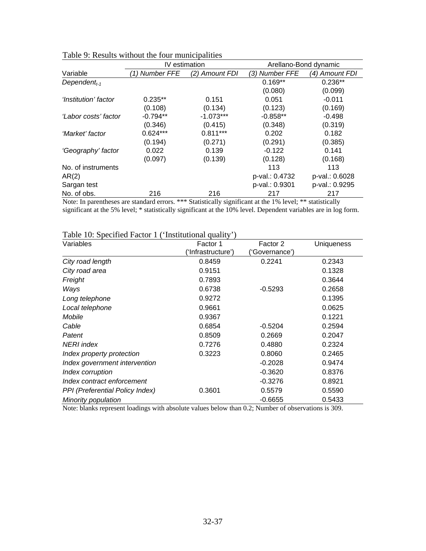|                          | IV estimation  |                | Arellano-Bond dynamic |                |
|--------------------------|----------------|----------------|-----------------------|----------------|
| Variable                 | (1) Number FFE | (2) Amount FDI | (3) Number FFE        | (4) Amount FDI |
| Dependent <sub>t-1</sub> |                |                | $0.169**$             | $0.236**$      |
|                          |                |                | (0.080)               | (0.099)        |
| 'Institution' factor     | $0.235**$      | 0.151          | 0.051                 | $-0.011$       |
|                          | (0.108)        | (0.134)        | (0.123)               | (0.169)        |
| ʻLabor costs' factor     | $-0.794**$     | $-1.073***$    | $-0.858**$            | $-0.498$       |
|                          | (0.346)        | (0.415)        | (0.348)               | (0.319)        |
| 'Market' factor          | $0.624***$     | $0.811***$     | 0.202                 | 0.182          |
|                          | (0.194)        | (0.271)        | (0.291)               | (0.385)        |
| 'Geography' factor       | 0.022          | 0.139          | $-0.122$              | 0.141          |
|                          | (0.097)        | (0.139)        | (0.128)               | (0.168)        |
| No. of instruments       |                |                | 113                   | 113            |
| AR(2)                    |                |                | p-val.: 0.4732        | p-val.: 0.6028 |
| Sargan test              |                |                | p-val.: 0.9301        | p-val.: 0.9295 |
| No. of obs.              | 216            | 216            | 217                   | 217            |

| Table 9: Results without the four municipalities |  |  |  |
|--------------------------------------------------|--|--|--|
|--------------------------------------------------|--|--|--|

Note: In parentheses are standard errors. \*\*\* Statistically significant at the 1% level; \*\* statistically significant at the 5% level; \* statistically significant at the 10% level. Dependent variables are in log form.

| Table 10: Specified Factor 1 ('Institutional quality') |                    |               |                   |
|--------------------------------------------------------|--------------------|---------------|-------------------|
| Variables                                              | Factor 1           | Factor 2      | <b>Uniqueness</b> |
|                                                        | ('Infrastructure') | 'Governance') |                   |
| City road length                                       | 0.8459             | 0.2241        | 0.2343            |
| City road area                                         | 0.9151             |               | 0.1328            |
| Freight                                                | 0.7893             |               | 0.3644            |
| Ways                                                   | 0.6738             | $-0.5293$     | 0.2658            |
| Long telephone                                         | 0.9272             |               | 0.1395            |
| Local telephone                                        | 0.9661             |               | 0.0625            |
| Mobile                                                 | 0.9367             |               | 0.1221            |
| Cable                                                  | 0.6854             | $-0.5204$     | 0.2594            |
| Patent                                                 | 0.8509             | 0.2669        | 0.2047            |
| NERI index                                             | 0.7276             | 0.4880        | 0.2324            |
| Index property protection                              | 0.3223             | 0.8060        | 0.2465            |
| Index government intervention                          |                    | $-0.2028$     | 0.9474            |
| Index corruption                                       |                    | $-0.3620$     | 0.8376            |
| Index contract enforcement                             |                    | $-0.3276$     | 0.8921            |
| PPI (Preferential Policy Index)                        | 0.3601             | 0.5579        | 0.5590            |
| Minority population                                    |                    | $-0.6655$     | 0.5433            |

Note: blanks represent loadings with absolute values below than 0.2; Number of observations is 309.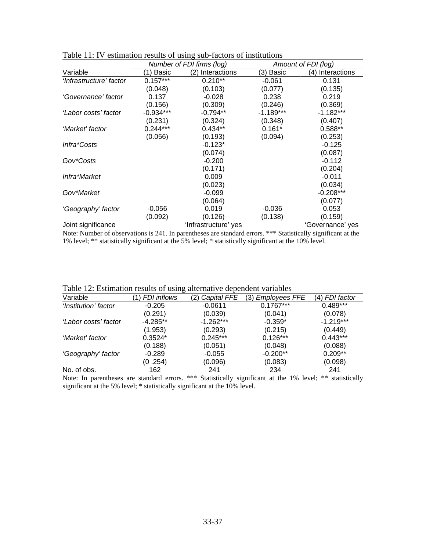|                         |              | Number of FDI firms (log) |             | Amount of FDI (log) |
|-------------------------|--------------|---------------------------|-------------|---------------------|
| Variable                | <b>Basic</b> | (2)<br>Interactions       | (3) Basic   | Interactions<br>(4) |
| 'Infrastructure' factor | $0.157***$   | $0.210**$                 | $-0.061$    | 0.131               |
|                         | (0.048)      | (0.103)                   | (0.077)     | (0.135)             |
| 'Governance' factor     | 0.137        | $-0.028$                  | 0.238       | 0.219               |
|                         | (0.156)      | (0.309)                   | (0.246)     | (0.369)             |
| 'Labor costs' factor    | $-0.934***$  | $-0.794**$                | $-1.189***$ | $-1.182***$         |
|                         | (0.231)      | (0.324)                   | (0.348)     | (0.407)             |
| 'Market' factor         | $0.244***$   | $0.434**$                 | $0.161*$    | $0.588**$           |
|                         | (0.056)      | (0.193)                   | (0.094)     | (0.253)             |
| Infra*Costs             |              | $-0.123*$                 |             | $-0.125$            |
|                         |              | (0.074)                   |             | (0.087)             |
| Gov*Costs               |              | $-0.200$                  |             | $-0.112$            |
|                         |              | (0.171)                   |             | (0.204)             |
| Infra*Market            |              | 0.009                     |             | $-0.011$            |
|                         |              | (0.023)                   |             | (0.034)             |
| Gov*Market              |              | $-0.099$                  |             | $-0.208***$         |
|                         |              | (0.064)                   |             | (0.077)             |
| 'Geography' factor      | $-0.056$     | 0.019                     | $-0.036$    | 0.053               |
|                         | (0.092)      | (0.126)                   | (0.138)     | (0.159)             |
| Joint significance      |              | 'Infrastructure' yes      |             | 'Governance' ves    |

Table 11: IV estimation results of using sub-factors of institutions

Note: Number of observations is 241. In parentheses are standard errors. \*\*\* Statistically significant at the 1% level; \*\* statistically significant at the 5% level; \* statistically significant at the 10% level.

| Table 12: Estimation results of using alternative dependent variables |  |  |  |
|-----------------------------------------------------------------------|--|--|--|
|                                                                       |  |  |  |

| Variable             | <b>FDI</b> inflows | <b>Capital FFE</b><br>2) | <b>Employees FFE</b><br>(3) | (4) FDI factor |
|----------------------|--------------------|--------------------------|-----------------------------|----------------|
| 'Institution' factor | $-0.205$           | $-0.0611$                | $0.1767***$                 | $0.489***$     |
|                      | (0.291)            | (0.039)                  | (0.041)                     | (0.078)        |
| 'Labor costs' factor | $-4.285**$         | $-1.262***$              | $-0.359*$                   | $-1.219***$    |
|                      | (1.953)            | (0.293)                  | (0.215)                     | (0.449)        |
| 'Market' factor      | $0.3524*$          | $0.245***$               | $0.126***$                  | $0.443***$     |
|                      | (0.188)            | (0.051)                  | (0.048)                     | (0.088)        |
| 'Geography' factor   | $-0.289$           | $-0.055$                 | $-0.200**$                  | $0.209**$      |
|                      | (0.254)            | (0.096)                  | (0.083)                     | (0.098)        |
| No. of obs.          | 162                | 241                      | 234                         | 241            |

Note: In parentheses are standard errors. \*\*\* Statistically significant at the 1% level; \*\* statistically significant at the 5% level; \* statistically significant at the 10% level.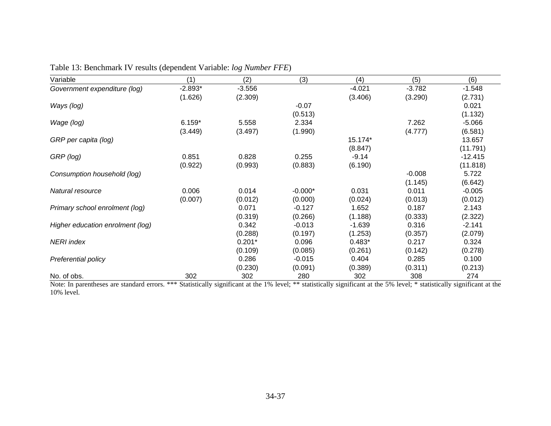| Variable                         | (1)       | (2)      | (3)       | (4)      | (5)      | (6)       |
|----------------------------------|-----------|----------|-----------|----------|----------|-----------|
| Government expenditure (log)     | $-2.893*$ | $-3.556$ |           | $-4.021$ | $-3.782$ | $-1.548$  |
|                                  | (1.626)   | (2.309)  |           | (3.406)  | (3.290)  | (2.731)   |
| Ways (log)                       |           |          | $-0.07$   |          |          | 0.021     |
|                                  |           |          | (0.513)   |          |          | (1.132)   |
| Wage (log)                       | $6.159*$  | 5.558    | 2.334     |          | 7.262    | $-5.066$  |
|                                  | (3.449)   | (3.497)  | (1.990)   |          | (4.777)  | (6.581)   |
| GRP per capita (log)             |           |          |           | 15.174*  |          | 13.657    |
|                                  |           |          |           | (8.847)  |          | (11.791)  |
| GRP (log)                        | 0.851     | 0.828    | 0.255     | $-9.14$  |          | $-12.415$ |
|                                  | (0.922)   | (0.993)  | (0.883)   | (6.190)  |          | (11.818)  |
| Consumption household (log)      |           |          |           |          | $-0.008$ | 5.722     |
|                                  |           |          |           |          | (1.145)  | (6.642)   |
| Natural resource                 | 0.006     | 0.014    | $-0.000*$ | 0.031    | 0.011    | $-0.005$  |
|                                  | (0.007)   | (0.012)  | (0.000)   | (0.024)  | (0.013)  | (0.012)   |
| Primary school enrolment (log)   |           | 0.071    | $-0.127$  | 1.652    | 0.187    | 2.143     |
|                                  |           | (0.319)  | (0.266)   | (1.188)  | (0.333)  | (2.322)   |
| Higher education enrolment (log) |           | 0.342    | $-0.013$  | $-1.639$ | 0.316    | $-2.141$  |
|                                  |           | (0.288)  | (0.197)   | (1.253)  | (0.357)  | (2.079)   |
| <b>NERI</b> index                |           | $0.201*$ | 0.096     | $0.483*$ | 0.217    | 0.324     |
|                                  |           | (0.109)  | (0.085)   | (0.261)  | (0.142)  | (0.278)   |
| Preferential policy              |           | 0.286    | $-0.015$  | 0.404    | 0.285    | 0.100     |
|                                  |           | (0.230)  | (0.091)   | (0.389)  | (0.311)  | (0.213)   |
| No. of obs.                      | 302       | 302      | 280       | 302      | 308      | 274       |

Table 13: Benchmark IV results (dependent Variable: *log Number FFE*)

Note: In parentheses are standard errors. \*\*\* Statistically significant at the 1% level; \*\* statistically significant at the 5% level; \* statistically significant at the 10% level.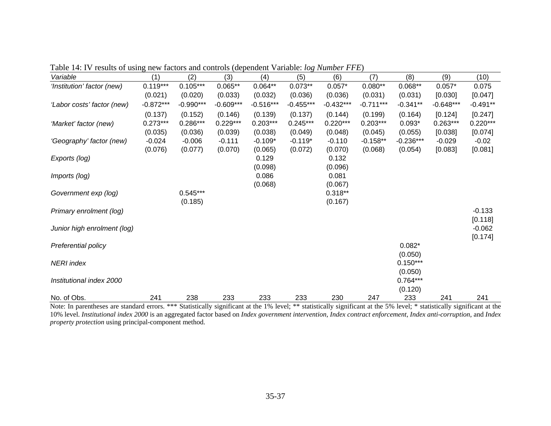|                             |             |             |             |             | $\cup$      |             |             |             |             |                     |
|-----------------------------|-------------|-------------|-------------|-------------|-------------|-------------|-------------|-------------|-------------|---------------------|
| Variable                    | (1)         | (2)         | (3)         | (4)         | (5)         | (6)         | (7)         | (8)         | (9)         | (10)                |
| 'Institution' factor (new)  | $0.119***$  | $0.105***$  | $0.065**$   | $0.064**$   | $0.073**$   | $0.057*$    | $0.080**$   | $0.068**$   | $0.057*$    | 0.075               |
|                             | (0.021)     | (0.020)     | (0.033)     | (0.032)     | (0.036)     | (0.036)     | (0.031)     | (0.031)     | [0.030]     | [0.047]             |
| 'Labor costs' factor (new)  | $-0.872***$ | $-0.990***$ | $-0.609***$ | $-0.516***$ | $-0.455***$ | $-0.432***$ | $-0.711***$ | $-0.341**$  | $-0.648***$ | $-0.491**$          |
|                             | (0.137)     | (0.152)     | (0.146)     | (0.139)     | (0.137)     | (0.144)     | (0.199)     | (0.164)     | [0.124]     | [0.247]             |
| 'Market' factor (new)       | $0.273***$  | $0.286***$  | $0.229***$  | $0.203***$  | $0.245***$  | $0.220***$  | $0.203***$  | $0.093*$    | $0.263***$  | $0.220***$          |
|                             | (0.035)     | (0.036)     | (0.039)     | (0.038)     | (0.049)     | (0.048)     | (0.045)     | (0.055)     | [0.038]     | [0.074]             |
| 'Geography' factor (new)    | $-0.024$    | $-0.006$    | $-0.111$    | $-0.109*$   | $-0.119*$   | $-0.110$    | $-0.158**$  | $-0.236***$ | $-0.029$    | $-0.02$             |
|                             | (0.076)     | (0.077)     | (0.070)     | (0.065)     | (0.072)     | (0.070)     | (0.068)     | (0.054)     | [0.083]     | [0.081]             |
| Exports (log)               |             |             |             | 0.129       |             | 0.132       |             |             |             |                     |
|                             |             |             |             | (0.098)     |             | (0.096)     |             |             |             |                     |
| Imports (log)               |             |             |             | 0.086       |             | 0.081       |             |             |             |                     |
|                             |             |             |             | (0.068)     |             | (0.067)     |             |             |             |                     |
| Government exp (log)        |             | $0.545***$  |             |             |             | $0.318**$   |             |             |             |                     |
|                             |             | (0.185)     |             |             |             | (0.167)     |             |             |             |                     |
| Primary enrolment (log)     |             |             |             |             |             |             |             |             |             | $-0.133$<br>[0.118] |
| Junior high enrolment (log) |             |             |             |             |             |             |             |             |             | $-0.062$            |
|                             |             |             |             |             |             |             |             |             |             | [0.174]             |
| Preferential policy         |             |             |             |             |             |             |             | $0.082*$    |             |                     |
|                             |             |             |             |             |             |             |             | (0.050)     |             |                     |
| <b>NERI</b> index           |             |             |             |             |             |             |             | $0.150***$  |             |                     |
|                             |             |             |             |             |             |             |             | (0.050)     |             |                     |
| Institutional index 2000    |             |             |             |             |             |             |             | $0.764***$  |             |                     |
|                             |             |             |             |             |             |             |             | (0.120)     |             |                     |
| No. of Obs.                 | 241         | 238         | 233         | 233         | 233         | 230         | 247         | 233         | 241         | 241                 |

Table 14: IV results of using new factors and controls (dependent Variable: *log Number FFE*)

Note: In parentheses are standard errors. \*\*\* Statistically significant at the 1% level; \*\* statistically significant at the 5% level; \* statistically significant at the 10% level. *Institutional index 2000* is an aggregated factor based on *Index government intervention*, *Index contract enforcement*, *Index anti-corruption*, and *Index property protection* using principal-component method.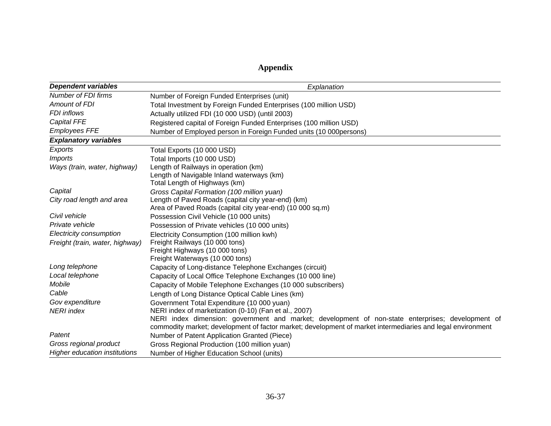# **Appendix**

| <b>Dependent variables</b>      | Explanation                                                                                                |
|---------------------------------|------------------------------------------------------------------------------------------------------------|
| Number of FDI firms             | Number of Foreign Funded Enterprises (unit)                                                                |
| <b>Amount of FDI</b>            | Total Investment by Foreign Funded Enterprises (100 million USD)                                           |
| <b>FDI</b> inflows              | Actually utilized FDI (10 000 USD) (until 2003)                                                            |
| <b>Capital FFE</b>              | Registered capital of Foreign Funded Enterprises (100 million USD)                                         |
| <b>Employees FFE</b>            | Number of Employed person in Foreign Funded units (10 000persons)                                          |
| <b>Explanatory variables</b>    |                                                                                                            |
| Exports                         | Total Exports (10 000 USD)                                                                                 |
| <i><b>Imports</b></i>           | Total Imports (10 000 USD)                                                                                 |
| Ways (train, water, highway)    | Length of Railways in operation (km)                                                                       |
|                                 | Length of Navigable Inland waterways (km)                                                                  |
|                                 | Total Length of Highways (km)                                                                              |
| Capital                         | Gross Capital Formation (100 million yuan)                                                                 |
| City road length and area       | Length of Paved Roads (capital city year-end) (km)                                                         |
|                                 | Area of Paved Roads (capital city year-end) (10 000 sq.m)                                                  |
| Civil vehicle                   | Possession Civil Vehicle (10 000 units)                                                                    |
| Private vehicle                 | Possession of Private vehicles (10 000 units)                                                              |
| Electricity consumption         | Electricity Consumption (100 million kwh)                                                                  |
| Freight (train, water, highway) | Freight Railways (10 000 tons)                                                                             |
|                                 | Freight Highways (10 000 tons)                                                                             |
|                                 | Freight Waterways (10 000 tons)                                                                            |
| Long telephone                  | Capacity of Long-distance Telephone Exchanges (circuit)                                                    |
| Local telephone                 | Capacity of Local Office Telephone Exchanges (10 000 line)                                                 |
| Mobile                          | Capacity of Mobile Telephone Exchanges (10 000 subscribers)                                                |
| Cable                           | Length of Long Distance Optical Cable Lines (km)                                                           |
| Gov expenditure                 | Government Total Expenditure (10 000 yuan)                                                                 |
| <b>NERI</b> index               | NERI index of marketization (0-10) (Fan et al., 2007)                                                      |
|                                 | NERI index dimension: government and market; development of non-state enterprises; development of          |
|                                 | commodity market; development of factor market; development of market intermediaries and legal environment |
| Patent                          | Number of Patent Application Granted (Piece)                                                               |
| Gross regional product          | Gross Regional Production (100 million yuan)                                                               |
| Higher education institutions   | Number of Higher Education School (units)                                                                  |